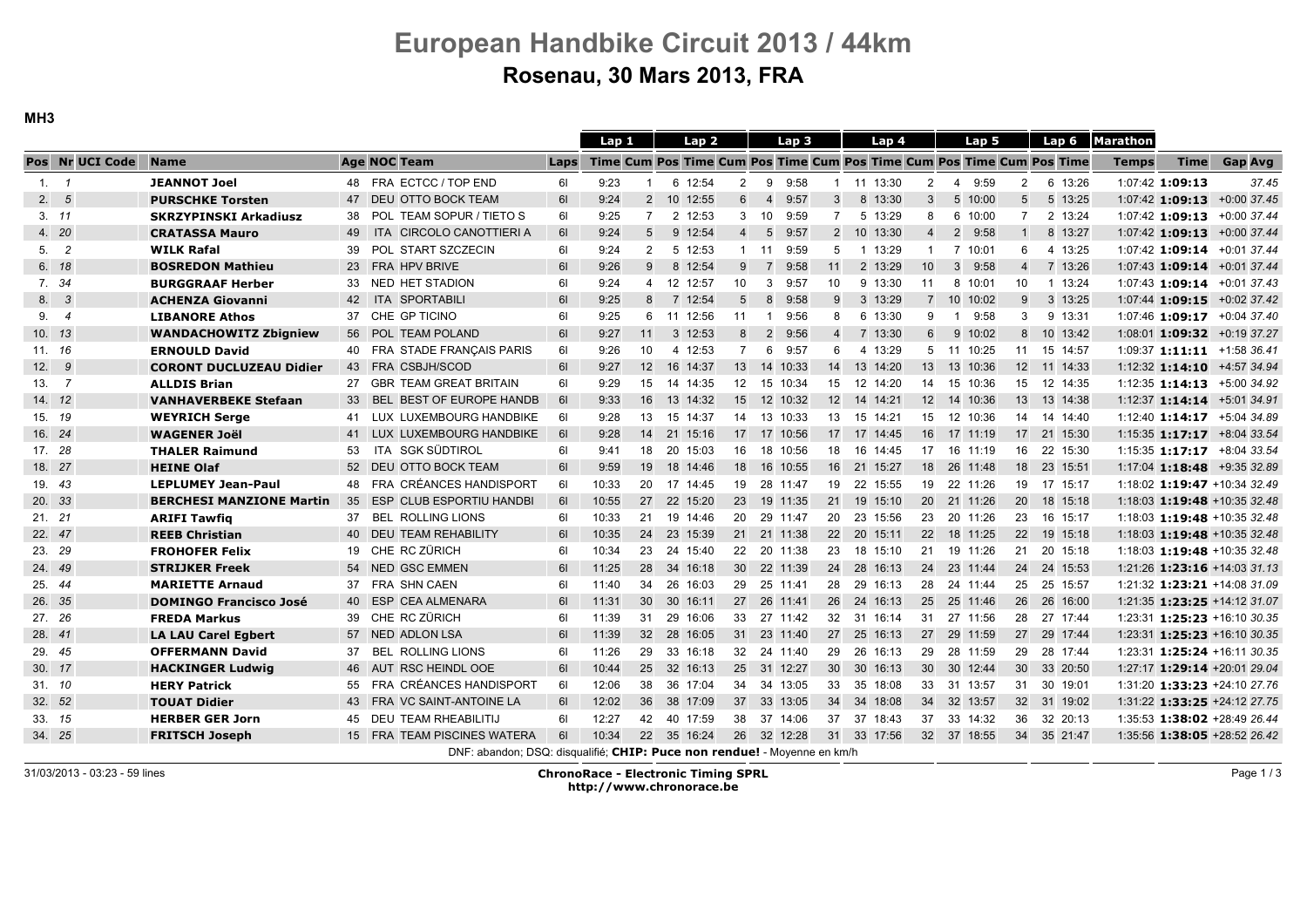MH3

|        |                 |                                 |    |                                                                        |             | Lap <sub>1</sub> |                 |                 | Lap <sub>2</sub> |                 |                | Lap <sub>3</sub> |                  | Lap 4         |                 | Lap 5                                                                 |                         | Lap <sub>6</sub> | Marathon     |                 |                                 |
|--------|-----------------|---------------------------------|----|------------------------------------------------------------------------|-------------|------------------|-----------------|-----------------|------------------|-----------------|----------------|------------------|------------------|---------------|-----------------|-----------------------------------------------------------------------|-------------------------|------------------|--------------|-----------------|---------------------------------|
|        | Pos Nr UCI Code | <b>Name</b>                     |    | <b>Age NOC Team</b>                                                    | <b>Laps</b> |                  |                 |                 |                  |                 |                |                  |                  |               |                 | Time Cum Pos Time Cum Pos Time Cum Pos Time Cum Pos Time Cum Pos Time |                         |                  | <b>Temps</b> | <b>Time</b>     | <b>Gap Avg</b>                  |
|        | 1.7             | <b>JEANNOT Joel</b>             |    | 48 FRA ECTCC / TOP END                                                 | 61          | 9:23             |                 |                 | 6 12:54          | $\overline{2}$  | 9              | 9:58             |                  | 1 11 13:30    | $\overline{2}$  | 9:59<br>$\overline{4}$                                                | $\overline{2}$          | 6 13:26          |              | 1:07:42 1:09:13 | 37.45                           |
|        | 2.5             | <b>PURSCHKE Torsten</b>         |    | 47 DEU OTTO BOCK TEAM                                                  | 61          | 9:24             | $\overline{2}$  |                 | 10 12:55         | 6               | $\overline{4}$ | 9:57             | 3                | 8 13:30       | 3               | 5 10:00                                                               | 5                       | 5 13:25          |              |                 | 1:07:42 1:09:13 +0:00 37.45     |
|        | 3.11            | <b>SKRZYPINSKI Arkadiusz</b>    | 38 | POL TEAM SOPUR / TIETO S                                               | 61          | 9:25             | $\overline{7}$  |                 | 2 12:53          | 3               | 10             | 9:59             | $\overline{7}$   | 5 13:29       | 8               | 6 10:00                                                               | $\overline{7}$          | 2 13:24          |              |                 | 1:07:42 1:09:13 +0:00 37.44     |
|        | 4. 20           | <b>CRATASSA Mauro</b>           | 49 | ITA CIRCOLO CANOTTIERI A                                               | 61          | 9:24             | 5               |                 | 9 12:54          | $\overline{4}$  | 5              | 9:57             |                  | 2 10 13:30    | $\overline{4}$  | 9:58<br>$\overline{2}$                                                |                         | 8 13:27          |              |                 | 1:07:42 1:09:13 +0:00 37.44     |
|        | 5.2             | <b>WILK Rafal</b>               | 39 | POL START SZCZECIN                                                     | 61          | 9:24             | $\overline{2}$  |                 | 5 12:53          |                 | $1 \quad 11$   | 9:59             | 5                | 1 13:29       | $\mathbf 1$     | 7 10:01                                                               | 6                       | 4 13:25          |              |                 | 1:07:42 1:09:14 +0:01 37.44     |
|        | 6. 18           | <b>BOSREDON Mathieu</b>         | 23 | <b>FRA HPV BRIVE</b>                                                   | 61          | 9:26             | 9               |                 | 8 12:54          | 9               | 7              | 9:58             | 11               | 2 13:29       | 10              | 9:58<br>$\mathbf{3}$                                                  | $\overline{\mathbf{A}}$ | 7 13:26          |              |                 | 1:07:43 1:09:14 +0:01 37.44     |
|        | 7. 34           | <b>BURGGRAAF Herber</b>         | 33 | NED HET STADION                                                        | 61          | 9:24             | $\overline{4}$  |                 | 12 12:57         | 10              | 3              | 9:57             | 10 <sup>10</sup> | 9 13:30       | 11              | 8 10:01                                                               | 10                      | 1 13:24          |              |                 | $1:07:43$ 1:09:14 $+0:01$ 37.43 |
|        | 8. 3            | <b>ACHENZA Giovanni</b>         | 42 | ITA SPORTABILI                                                         | 61          | 9:25             | 8               |                 | 7 12:54          | 5               | 8              | 9:58             | 9                | 3 13:29       |                 | 7 10 10:02                                                            | 9                       | 3 13:25          |              |                 | 1:07:44 1:09:15 +0:02 37.42     |
|        | 9.4             | <b>LIBANORE Athos</b>           | 37 | CHE GP TICINO                                                          | 61          | 9:25             | 6               |                 | 11 12:56         | 11              | -1             | 9:56             | 8                | 6 13:30       | 9               | 9:58<br>- 1                                                           | 3                       | 9 13:31          |              |                 | $1:07:46$ 1:09:17 $+0:04$ 37.40 |
|        | 10.13           | <b>WANDACHOWITZ Zbigniew</b>    | 56 | POL TEAM POLAND                                                        | 61          | 9:27             | 11              |                 | 3 12:53          | 8               | 2              | 9:56             | $\overline{4}$   | 7 13:30       | 6               | 9 10:02                                                               | 8                       | 10 13:42         |              |                 | 1:08:01 1:09:32 +0:19 37.27     |
| 11. 16 |                 | <b>ERNOULD David</b>            |    | 40 FRA STADE FRANÇAIS PARIS                                            | 61          | 9:26             | 10              |                 | 4 12:53          | $\overline{7}$  | 6              | 9:57             | 6                | 4 13:29       |                 | 5 11 10:25                                                            | 11                      | 15 14:57         |              |                 | 1:09:37 1:11:11 $+1:58$ 36.41   |
|        | 12.9            | <b>CORONT DUCLUZEAU Didier</b>  |    | 43 FRA CSBJH/SCOD                                                      | 61          | 9:27             | 12              |                 | 16 14:37         | 13              |                | 14 10:33         | 14               | 13 14:20      |                 | 13 13 10:36                                                           |                         | 12 11 14:33      |              |                 | 1:12:32 1:14:10 +4:57 34.94     |
|        | 13.7            | <b>ALLDIS Brian</b>             |    | <b>GBR TEAM GREAT BRITAIN</b>                                          | 61          | 9:29             | 15              |                 | 14 14:35         | 12              |                | 15 10:34         |                  | 15 12 14:20   |                 | 14 15 10:36                                                           | 15                      | 12 14:35         |              |                 | 1:12:35 1:14:13 +5:00 34.92     |
|        | 14. 12          | <b>VANHAVERBEKE Stefaan</b>     | 33 | BEL BEST OF EUROPE HANDB                                               | 61          | 9:33             | 16              |                 | 13 14:32         | 15              |                | 12 10:32         |                  | 12 14 14:21   |                 | 12 14 10:36                                                           | 13                      | 13 14:38         |              |                 | 1:12:37 1:14:14 +5:01 34.91     |
|        | 15. 19          | <b>WEYRICH Serge</b>            | 41 | LUX LUXEMBOURG HANDBIKE                                                | 61          | 9:28             | 13              |                 | 15 14:37         |                 |                | 14 13 10:33      |                  | 13 15 14:21   |                 | 15 12 10:36                                                           | 14                      | 14 14:40         |              |                 | 1:12:40 1:14:17 +5:04 34.89     |
|        | 16. 24          | <b>WAGENER Joël</b>             |    | 41 LUX LUXEMBOURG HANDBIKE                                             | 61          | 9:28             | 14              |                 | 21 15:16         |                 |                | 17 17 10:56      |                  | 17 17 14:45   |                 | 16 17 11:19                                                           |                         | 17 21 15:30      |              |                 | 1:15:35 1:17:17 +8:04 33.54     |
| 17. 28 |                 | <b>THALER Raimund</b>           | 53 | ITA SGK SÜDTIROL                                                       | 61          | 9:41             | 18              |                 | 20 15:03         | 16              |                | 18 10:56         |                  | 18  16  14:45 | 17              | 16 11:19                                                              | 16                      | 22 15:30         |              |                 | 1:15:35 1:17:17 +8:04 33.54     |
|        | 18. 27          | <b>HEINE Olaf</b>               |    | 52 DEU OTTO BOCK TEAM                                                  | 61          | 9:59             | 19              |                 | 18 14:46         | 18              |                | 16 10:55         |                  | 16 21 15:27   |                 | 18 26 11:48                                                           |                         | 18 23 15:51      |              |                 | 1:17:04 1:18:48 +9:35 32.89     |
|        | 19. 43          | <b>LEPLUMEY Jean-Paul</b>       | 48 | FRA CRÉANCES HANDISPORT                                                | 61          | 10:33            | 20              |                 | 17 14:45         | 19              |                | 28 11:47         |                  | 19 22 15:55   | 19              | 22 11:26                                                              | 19                      | 17 15:17         |              |                 | 1:18:02 1:19:47 +10:34 32.49    |
| 20. 33 |                 | <b>BERCHESI MANZIONE Martin</b> | 35 | ESP CLUB ESPORTIU HANDBI                                               | 61          | 10:55            | 27              |                 | 22 15:20         | 23              |                | 19 11:35         |                  | 21 19 15:10   |                 | 20 21 11:26                                                           | 20                      | 18 15:18         |              |                 | 1:18:03 1:19:48 +10:35 32.48    |
| 21.21  |                 | <b>ARIFI Tawfig</b>             | 37 | <b>BEL ROLLING LIONS</b>                                               | 61          | 10:33            | 21              |                 | 19 14:46         | 20              |                | 29 11:47         | 20               | 23 15:56      | 23              | 20 11:26                                                              | 23                      | 16 15:17         |              |                 | 1:18:03 1:19:48 +10:35 32.48    |
| 22. 47 |                 | <b>REEB Christian</b>           |    | 40 DEU TEAM REHABILITY                                                 | 61          | 10:35            | 24              |                 | 23 15:39         |                 |                | 21 21 11:38      |                  | 22 20 15:11   | 22              | 18 11:25                                                              | 22                      | 19 15:18         |              |                 | 1:18:03 1:19:48 +10:35 32.48    |
| 23. 29 |                 | <b>FROHOFER Felix</b>           | 19 | CHE RC ZÜRICH                                                          | 61          | 10:34            | 23              |                 | 24 15:40         | 22              |                | 20 11:38         | 23               | 18 15:10      | 21              | 19 11:26                                                              | 21                      | 20 15:18         |              |                 | 1:18:03 1:19:48 +10:35 32.48    |
| 24. 49 |                 | <b>STRIJKER Freek</b>           | 54 | NED GSC EMMEN                                                          | 61          | 11:25            | 28              |                 | 34 16:18         | 30 <sup>°</sup> |                | 22 11:39         | 24               | 28 16:13      | 24              | 23 11:44                                                              | 24                      | 24 15:53         |              |                 | 1:21:26 1:23:16 +14:03 31.13    |
| 25. 44 |                 | <b>MARIETTE Arnaud</b>          | 37 | FRA SHN CAEN                                                           | 61          | 11:40            | 34              | 26              | 16:03            | 29              | 25             | 11:41            | 28               | 29<br>16:13   | 28              | 24 11:44                                                              | 25                      | 25 15:57         |              |                 | 1:21:32 1:23:21 +14:08 31.09    |
| 26. 35 |                 | <b>DOMINGO Francisco José</b>   | 40 | ESP CEA ALMENARA                                                       | 61          | 11:31            | 30              | 30 <sup>°</sup> | 16:11            | 27 26           |                | 11:41            | 26               | 24 16:13      | 25              | 25 11:46                                                              | 26                      | 26 16:00         |              |                 | 1:21:35 1:23:25 +14:12 31.07    |
| 27. 26 |                 | <b>FREDA Markus</b>             | 39 | CHE RC ZÜRICH                                                          | 61          | 11:39            | 31              | 29              | 16:06            | 33              | 27             | 11:42            | 32               | 31<br>16:14   | 31              | 27 11:56                                                              | 28                      | 27 17:44         |              |                 | 1:23:31 1:25:23 +16:10 30.35    |
| 28. 41 |                 | <b>LA LAU Carel Egbert</b>      | 57 | NED ADLON LSA                                                          | 61          | 11:39            | 32 <sup>°</sup> | 28              | 16:05            | 31              | 23             | 11:40            | 27               | 25 16:13      | 27              | 29 11:59                                                              | 27                      | 29 17:44         |              |                 | 1:23:31 1:25:23 +16:10 30.35    |
|        | 29. 45          | <b>OFFERMANN David</b>          | 37 | <b>BEL ROLLING LIONS</b>                                               | 61          | 11:26            | 29              |                 | 33 16:18         | 32              |                | 24 11:40         | 29               | 26 16:13      | 29              | 28 11:59                                                              | 29                      | 28 17:44         |              |                 | 1:23:31 1:25:24 +16:11 30.35    |
| 30. 17 |                 | <b>HACKINGER Ludwig</b>         | 46 | AUT RSC HEINDL OOE                                                     | 61          | 10:44            | 25              |                 | 32 16:13         | 25              | 31             | 12:27            | 30 <sup>°</sup>  | 30 16:13      | 30 <sup>°</sup> | 30 12:44                                                              | 30 <sup>°</sup>         | 33 20:50         |              |                 | 1:27:17 1:29:14 +20:01 29.04    |
| 31. 10 |                 | <b>HERY Patrick</b>             | 55 | FRA CRÉANCES HANDISPORT                                                | 61          | 12:06            | 38              | 36              | 17:04            | 34              | 34             | 13:05            | 33               | 35 18:08      | 33              | 31 13:57                                                              | 31                      | 30 19:01         |              |                 | 1:31:20 1:33:23 +24:10 27.76    |
| 32. 52 |                 | <b>TOUAT Didier</b>             | 43 | FRA VC SAINT-ANTOINE LA                                                | 61          | 12:02            | 36              | 38              | 17:09            | 37              | 33             | 13:05            | 34               | 34 18:08      | 34              | 32 13:57                                                              | 32 <sup>2</sup>         | 31 19:02         |              |                 | 1:31:22 1:33:25 +24:12 27.75    |
|        | 33. 15          | <b>HERBER GER Jorn</b>          | 45 | <b>DEU TEAM RHEABILITIJ</b>                                            | 61          | 12:27            | 42              | 40              | 17:59            | 38              | 37             | 14:06            | 37               | 37<br>18:43   | 37              | 33 14:32                                                              | 36                      | 32 20:13         |              |                 | 1:35:53 1:38:02 +28:49 26.44    |
|        | 34. 25          | <b>FRITSCH Joseph</b>           |    | 15 FRA TEAM PISCINES WATERA                                            | 61          | 10:34            | 22              |                 | 35 16:24         | 26              |                | 32 12:28         | 31               | 33 17:56      |                 | 32 37 18:55                                                           | 34                      | 35 21:47         |              |                 | 1:35:56 1:38:05 +28:52 26.42    |
|        |                 |                                 |    | DNE: obandan: DSO: digauglifié: CHTD: Duce non rondual Mayanna en km/h |             |                  |                 |                 |                  |                 |                |                  |                  |               |                 |                                                                       |                         |                  |              |                 |                                 |

DNF: abandon; DSQ: disqualifié; CHIP: Puce non rendue! - Moyenne en km/h

31/03/2013 - 03:23 - 59 lines

 ChronoRace - Electronic Timing SPRLhttp://www.chronorace.be

Page 1/3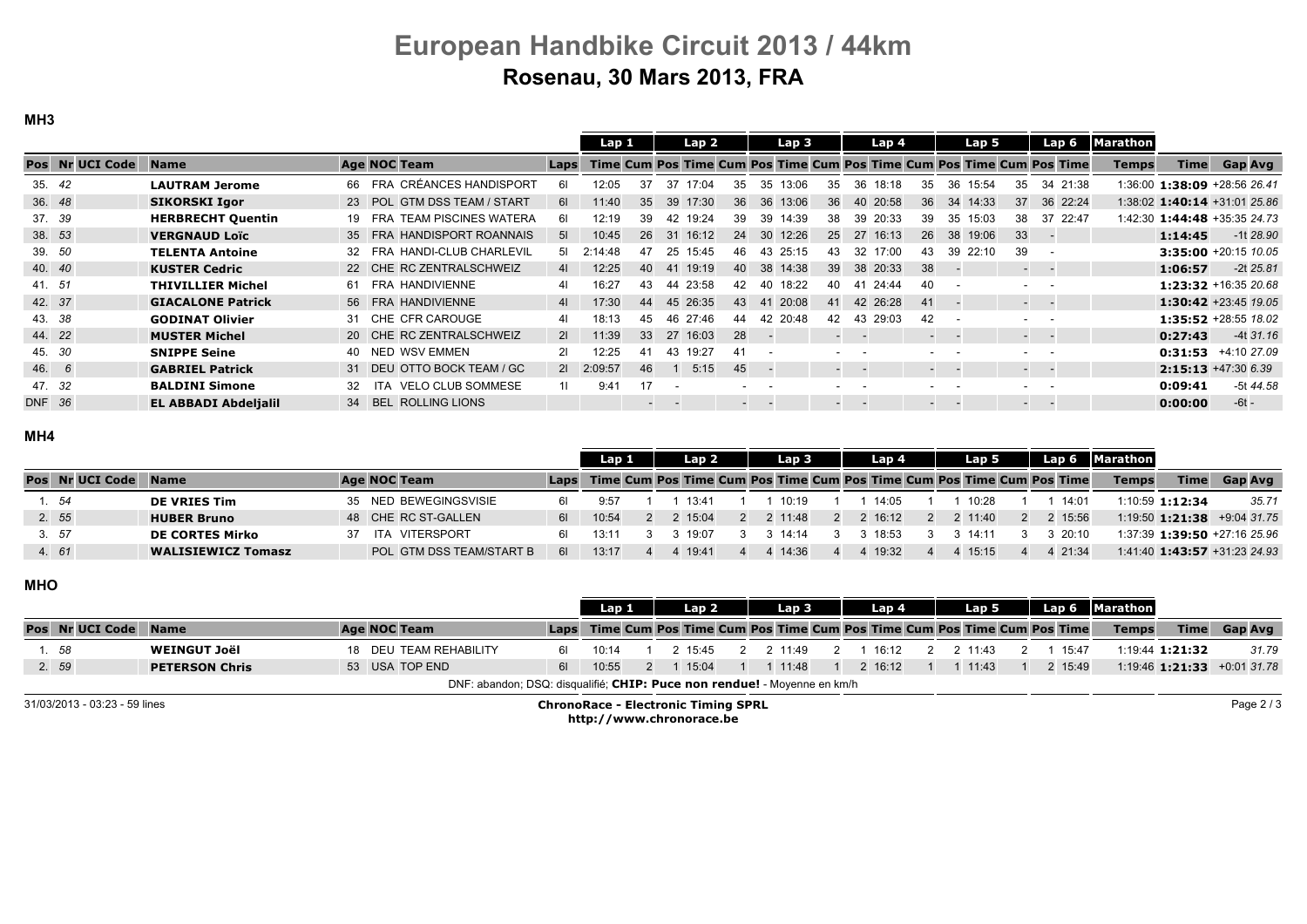MH3

| <b>Age NOC Team</b><br>Pos Nr UCI Code<br><b>Time</b><br>Time Cum Pos Time Cum Pos Time Cum Pos Time Cum Pos Time Cum Pos Time<br><b>Name</b><br><b>Temps</b><br>Laps<br>FRA CRÉANCES HANDISPORT<br>35.42<br>34 21:38<br>1:36:00 1:38:09 +28:56 26.41<br><b>LAUTRAM Jerome</b><br>12:05<br>17:04<br>66<br>37<br>37<br>13:06<br>18:18<br>36<br>35<br>35<br>36<br>15:54<br>35<br>35<br>35<br>36. 48<br>23 POL GTM DSS TEAM / START<br>39 17:30<br>36 13:06<br>36<br>40 20:58<br>36 22:24<br>1:38:02 1:40:14 +31:01 25.86<br><b>SIKORSKI Igor</b><br>11:40<br>35<br>36<br>36<br>34 14:33<br>37<br>61<br>37. 39<br>37 22:47<br>FRA TEAM PISCINES WATERA<br>42 19:24<br>1:42:30 1:44:48 +35:35 24.73<br><b>HERBRECHT Quentin</b><br>12:19<br>39<br>14:39<br>39 20:33<br>35<br>15:03<br>38<br>39<br>39<br>38<br>6I<br>39.<br>19<br>38. 53<br>16:12<br>35 FRA HANDISPORT ROANNAIS<br>10:45<br>12:26<br>27<br>16:13<br>19:06<br>33<br><b>VERGNAUD Loïc</b><br>26<br>31<br>24<br>30<br>25<br>38<br>51<br>26<br>1:14:45<br>39. 50<br>39<br>FRA HANDI-CLUB CHARLEVIL<br>3:35:00 +20:15 10.05<br><b>TELENTA Antoine</b><br>2:14:48<br>15:45<br>-32<br>39 22:10<br>47<br>25:15<br>25<br>43<br>17:00<br>32.<br>46.<br>43.<br>43.<br>40. 40<br>22 CHE RC ZENTRALSCHWEIZ<br>12:25<br>19:19<br>38 20:33<br><b>KUSTER Cedric</b><br>40<br>38 14:38<br>39<br>38<br>40 <sup>1</sup><br>1:06:57<br>41<br>41<br><b>Service</b> Service<br>41. 51<br>16:27<br>23:58<br>1:23:32 +16:35 20.68<br>FRA HANDIVIENNE<br>43<br>18:22<br>24:44<br><b>THIVILLIER Michel</b><br>40<br>40<br>41<br>44<br>42<br>40<br>61<br>41<br>42. 37<br>17:30<br>45 26:35<br>20:08<br>26:28<br>1:30:42 +23:45 19.05<br><b>GIACALONE Patrick</b><br>56 FRA HANDIVIENNE<br>42<br>44<br>43<br>41<br>4 <sup>1</sup><br>41<br>41<br>$\sim$ $\sim$<br>43. 38<br>31 CHE CFR CAROUGE<br>1:35:52 +28:55 18.02<br><b>GODINAT Olivier</b><br>18:13<br>46 27:46<br>42 20:48<br>43 29:03<br>42<br>41<br>45<br>42<br>44<br>44. 22<br>20 CHE RC ZENTRALSCHWEIZ<br>11:39<br>33 27 16:03<br><b>MUSTER Michel</b><br>-28<br>21<br>0:27:43<br><b>Service</b> Service<br><b>Service</b><br><b>Service</b><br>45. 30<br>NED WSV EMMEN<br>19:27<br><b>SNIPPE Seine</b><br>21<br>12:25<br>0:31:53<br>41<br>43<br>41<br>40.<br>$\sim$<br>46. 6<br>31 DEU OTTO BOCK TEAM / GC<br>2  2:09:57<br>5:15<br>45<br>$2:15:13 + 47:306.39$<br><b>GABRIEL Patrick</b><br>46<br>$\sim$<br><b>Service</b><br>$\sim$<br><b>Contract Contract</b><br>47. 32<br>ITA VELO CLUB SOMMESE<br>17<br><b>BALDINI Simone</b><br>9:41<br>11<br>0:09:41<br>32<br>34 BEL ROLLING LIONS<br>DNF 36<br><b>EL ABBADI Abdelialil</b><br>0:00:00<br>$-6t -$<br>$\sim$<br>$\sim$ 100 $\sim$ 100 $\sim$<br>$\frac{1}{2} \left( \frac{1}{2} \right) \left( \frac{1}{2} \right) \left( \frac{1}{2} \right) \left( \frac{1}{2} \right)$<br>$\sim$<br>$\sim$<br>$\sim$ 100 $\pm$<br>$\overline{\phantom{a}}$ |  |  |  | Lap <sub>1</sub> |  | Lap 2 |  | Lap 3 |  | Lap 4 |  | Lap 5 | Lap 6 | <b>Marathon</b> |                |
|-------------------------------------------------------------------------------------------------------------------------------------------------------------------------------------------------------------------------------------------------------------------------------------------------------------------------------------------------------------------------------------------------------------------------------------------------------------------------------------------------------------------------------------------------------------------------------------------------------------------------------------------------------------------------------------------------------------------------------------------------------------------------------------------------------------------------------------------------------------------------------------------------------------------------------------------------------------------------------------------------------------------------------------------------------------------------------------------------------------------------------------------------------------------------------------------------------------------------------------------------------------------------------------------------------------------------------------------------------------------------------------------------------------------------------------------------------------------------------------------------------------------------------------------------------------------------------------------------------------------------------------------------------------------------------------------------------------------------------------------------------------------------------------------------------------------------------------------------------------------------------------------------------------------------------------------------------------------------------------------------------------------------------------------------------------------------------------------------------------------------------------------------------------------------------------------------------------------------------------------------------------------------------------------------------------------------------------------------------------------------------------------------------------------------------------------------------------------------------------------------------------------------------------------------------------------------------------------------------------------------------------------------------------------------------------------------------------------------------------------------------------------------------------------------------------------------------------------------------------------------------------------------|--|--|--|------------------|--|-------|--|-------|--|-------|--|-------|-------|-----------------|----------------|
|                                                                                                                                                                                                                                                                                                                                                                                                                                                                                                                                                                                                                                                                                                                                                                                                                                                                                                                                                                                                                                                                                                                                                                                                                                                                                                                                                                                                                                                                                                                                                                                                                                                                                                                                                                                                                                                                                                                                                                                                                                                                                                                                                                                                                                                                                                                                                                                                                                                                                                                                                                                                                                                                                                                                                                                                                                                                                                 |  |  |  |                  |  |       |  |       |  |       |  |       |       |                 | <b>Gap Avg</b> |
|                                                                                                                                                                                                                                                                                                                                                                                                                                                                                                                                                                                                                                                                                                                                                                                                                                                                                                                                                                                                                                                                                                                                                                                                                                                                                                                                                                                                                                                                                                                                                                                                                                                                                                                                                                                                                                                                                                                                                                                                                                                                                                                                                                                                                                                                                                                                                                                                                                                                                                                                                                                                                                                                                                                                                                                                                                                                                                 |  |  |  |                  |  |       |  |       |  |       |  |       |       |                 |                |
|                                                                                                                                                                                                                                                                                                                                                                                                                                                                                                                                                                                                                                                                                                                                                                                                                                                                                                                                                                                                                                                                                                                                                                                                                                                                                                                                                                                                                                                                                                                                                                                                                                                                                                                                                                                                                                                                                                                                                                                                                                                                                                                                                                                                                                                                                                                                                                                                                                                                                                                                                                                                                                                                                                                                                                                                                                                                                                 |  |  |  |                  |  |       |  |       |  |       |  |       |       |                 |                |
|                                                                                                                                                                                                                                                                                                                                                                                                                                                                                                                                                                                                                                                                                                                                                                                                                                                                                                                                                                                                                                                                                                                                                                                                                                                                                                                                                                                                                                                                                                                                                                                                                                                                                                                                                                                                                                                                                                                                                                                                                                                                                                                                                                                                                                                                                                                                                                                                                                                                                                                                                                                                                                                                                                                                                                                                                                                                                                 |  |  |  |                  |  |       |  |       |  |       |  |       |       |                 |                |
|                                                                                                                                                                                                                                                                                                                                                                                                                                                                                                                                                                                                                                                                                                                                                                                                                                                                                                                                                                                                                                                                                                                                                                                                                                                                                                                                                                                                                                                                                                                                                                                                                                                                                                                                                                                                                                                                                                                                                                                                                                                                                                                                                                                                                                                                                                                                                                                                                                                                                                                                                                                                                                                                                                                                                                                                                                                                                                 |  |  |  |                  |  |       |  |       |  |       |  |       |       |                 | $-1128.90$     |
|                                                                                                                                                                                                                                                                                                                                                                                                                                                                                                                                                                                                                                                                                                                                                                                                                                                                                                                                                                                                                                                                                                                                                                                                                                                                                                                                                                                                                                                                                                                                                                                                                                                                                                                                                                                                                                                                                                                                                                                                                                                                                                                                                                                                                                                                                                                                                                                                                                                                                                                                                                                                                                                                                                                                                                                                                                                                                                 |  |  |  |                  |  |       |  |       |  |       |  |       |       |                 |                |
|                                                                                                                                                                                                                                                                                                                                                                                                                                                                                                                                                                                                                                                                                                                                                                                                                                                                                                                                                                                                                                                                                                                                                                                                                                                                                                                                                                                                                                                                                                                                                                                                                                                                                                                                                                                                                                                                                                                                                                                                                                                                                                                                                                                                                                                                                                                                                                                                                                                                                                                                                                                                                                                                                                                                                                                                                                                                                                 |  |  |  |                  |  |       |  |       |  |       |  |       |       |                 | $-2t$ 25.81    |
|                                                                                                                                                                                                                                                                                                                                                                                                                                                                                                                                                                                                                                                                                                                                                                                                                                                                                                                                                                                                                                                                                                                                                                                                                                                                                                                                                                                                                                                                                                                                                                                                                                                                                                                                                                                                                                                                                                                                                                                                                                                                                                                                                                                                                                                                                                                                                                                                                                                                                                                                                                                                                                                                                                                                                                                                                                                                                                 |  |  |  |                  |  |       |  |       |  |       |  |       |       |                 |                |
|                                                                                                                                                                                                                                                                                                                                                                                                                                                                                                                                                                                                                                                                                                                                                                                                                                                                                                                                                                                                                                                                                                                                                                                                                                                                                                                                                                                                                                                                                                                                                                                                                                                                                                                                                                                                                                                                                                                                                                                                                                                                                                                                                                                                                                                                                                                                                                                                                                                                                                                                                                                                                                                                                                                                                                                                                                                                                                 |  |  |  |                  |  |       |  |       |  |       |  |       |       |                 |                |
|                                                                                                                                                                                                                                                                                                                                                                                                                                                                                                                                                                                                                                                                                                                                                                                                                                                                                                                                                                                                                                                                                                                                                                                                                                                                                                                                                                                                                                                                                                                                                                                                                                                                                                                                                                                                                                                                                                                                                                                                                                                                                                                                                                                                                                                                                                                                                                                                                                                                                                                                                                                                                                                                                                                                                                                                                                                                                                 |  |  |  |                  |  |       |  |       |  |       |  |       |       |                 |                |
|                                                                                                                                                                                                                                                                                                                                                                                                                                                                                                                                                                                                                                                                                                                                                                                                                                                                                                                                                                                                                                                                                                                                                                                                                                                                                                                                                                                                                                                                                                                                                                                                                                                                                                                                                                                                                                                                                                                                                                                                                                                                                                                                                                                                                                                                                                                                                                                                                                                                                                                                                                                                                                                                                                                                                                                                                                                                                                 |  |  |  |                  |  |       |  |       |  |       |  |       |       |                 | $-4t$ 31.16    |
|                                                                                                                                                                                                                                                                                                                                                                                                                                                                                                                                                                                                                                                                                                                                                                                                                                                                                                                                                                                                                                                                                                                                                                                                                                                                                                                                                                                                                                                                                                                                                                                                                                                                                                                                                                                                                                                                                                                                                                                                                                                                                                                                                                                                                                                                                                                                                                                                                                                                                                                                                                                                                                                                                                                                                                                                                                                                                                 |  |  |  |                  |  |       |  |       |  |       |  |       |       |                 | +4:10 27.09    |
|                                                                                                                                                                                                                                                                                                                                                                                                                                                                                                                                                                                                                                                                                                                                                                                                                                                                                                                                                                                                                                                                                                                                                                                                                                                                                                                                                                                                                                                                                                                                                                                                                                                                                                                                                                                                                                                                                                                                                                                                                                                                                                                                                                                                                                                                                                                                                                                                                                                                                                                                                                                                                                                                                                                                                                                                                                                                                                 |  |  |  |                  |  |       |  |       |  |       |  |       |       |                 |                |
|                                                                                                                                                                                                                                                                                                                                                                                                                                                                                                                                                                                                                                                                                                                                                                                                                                                                                                                                                                                                                                                                                                                                                                                                                                                                                                                                                                                                                                                                                                                                                                                                                                                                                                                                                                                                                                                                                                                                                                                                                                                                                                                                                                                                                                                                                                                                                                                                                                                                                                                                                                                                                                                                                                                                                                                                                                                                                                 |  |  |  |                  |  |       |  |       |  |       |  |       |       |                 | -5t 44.58      |
|                                                                                                                                                                                                                                                                                                                                                                                                                                                                                                                                                                                                                                                                                                                                                                                                                                                                                                                                                                                                                                                                                                                                                                                                                                                                                                                                                                                                                                                                                                                                                                                                                                                                                                                                                                                                                                                                                                                                                                                                                                                                                                                                                                                                                                                                                                                                                                                                                                                                                                                                                                                                                                                                                                                                                                                                                                                                                                 |  |  |  |                  |  |       |  |       |  |       |  |       |       |                 |                |

#### MH4

|                 |                           |     |                          |      | Lap 1 |  | Lap <sub>2</sub> | Lap 3                                                                      |  | Lap 4   |  | Lap 5       | Lap 6   | <b>Marathon</b> |                 |                                    |
|-----------------|---------------------------|-----|--------------------------|------|-------|--|------------------|----------------------------------------------------------------------------|--|---------|--|-------------|---------|-----------------|-----------------|------------------------------------|
| Pos Nr UCI Code | <b>Name</b>               |     | <b>Age NOC Team</b>      |      |       |  |                  | Laps Time Cum Pos Time Cum Pos Time Cum Pos Time Cum Pos Time Cum Pos Time |  |         |  |             |         | <b>Temps</b>    | <b>Time</b>     | Gap Avg                            |
| 1.54            | <b>DE VRIES Tim</b>       |     | 35 NED BEWEGINGSVISIE    |      | 9.57  |  | $13.4^{\circ}$   | 10:19                                                                      |  | 14:05   |  | 10.28       | 14:01   |                 | 1:10:59 1:12:34 | 35.71                              |
| 2. 55           | <b>HUBER Bruno</b>        |     | 48 CHE RC ST-GALLEN      | 61 I | 10:54 |  | $2 \quad 15:04$  | 11:48                                                                      |  | 2 16.12 |  | 2 2 11:40   | 2 15:56 |                 |                 | 1:19:50 <b>1:21:38</b> +9:04 31.75 |
| 3. 57           | <b>DE CORTES Mirko</b>    | 37. | ITA VITERSPORT           | 61.  | 13:11 |  | 19.07            | 14:14                                                                      |  | 18:53   |  | $3 \t14:11$ | 320:10  |                 |                 | 1:37:39 1:39:50 +27:16 25.96       |
| 4. 61           | <b>WALISIEWICZ Tomasz</b> |     | POL GTM DSS TEAM/START B | 61   | 13:17 |  | 4 19:41          | 14:36                                                                      |  | 19:32   |  | 15:15       | 4 21:34 |                 |                 | 1:41:40 1:43:57 +31:23 24.93       |

### MHO

|       |                               |                       |                                                                          |             | Lap 1                                                                  |  | Lap 2 | Lap 3 | Lap 4                                                                      | Lap 5   |         | Lap 6 Marathon |                 |                                       |
|-------|-------------------------------|-----------------------|--------------------------------------------------------------------------|-------------|------------------------------------------------------------------------|--|-------|-------|----------------------------------------------------------------------------|---------|---------|----------------|-----------------|---------------------------------------|
|       | Pos Nr UCI Code               | <b>Name</b>           | <b>Age NOC Team</b>                                                      |             |                                                                        |  |       |       | Laps Time Cum Pos Time Cum Pos Time Cum Pos Time Cum Pos Time Cum Pos Time |         |         | <b>Temps</b>   | <b>Time</b>     | <b>Gap Avg</b>                        |
| 1. 58 |                               | <b>WEINGUT Joël</b>   | 18 DEU TEAM REHABILITY                                                   | 61 I        | 10:14                                                                  |  | 15:45 | 11:49 | 16:12                                                                      | 2 11:43 | 15:47   |                | 1:19:44 1:21:32 | 31.79                                 |
| 2.59  |                               | <b>PETERSON Chris</b> | 53 USA TOP END                                                           | 61 <b>B</b> | 10:55                                                                  |  | 15:04 | 11:48 | $2 \t16:12$                                                                | 1 11:43 | 2 15:49 |                |                 | $1:19.46$ <b>1:21:33</b> + 0.01 31.78 |
|       |                               |                       | DNF: abandon; DSQ: disqualifié; CHIP: Puce non rendue! - Moyenne en km/h |             |                                                                        |  |       |       |                                                                            |         |         |                |                 |                                       |
|       | 31/03/2013 - 03:23 - 59 lines |                       |                                                                          |             | <b>ChronoRace - Electronic Timing SPRL</b><br>http://www.chronorace.be |  |       |       |                                                                            |         |         |                |                 | Page 2/3                              |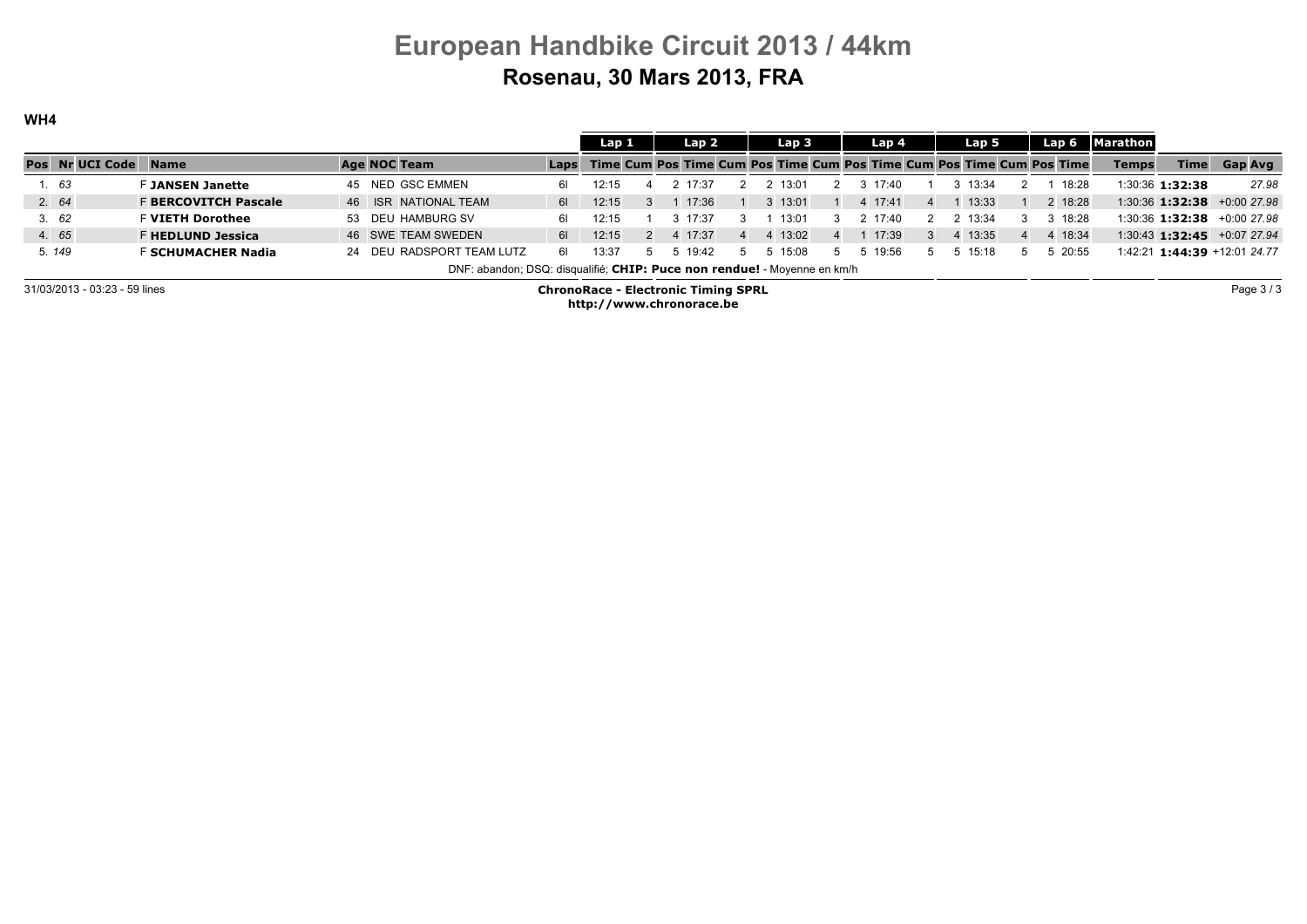WH4

|                               |                             |                                                                          |      | Lap 1                                      |               | Lap 2       | Lap <sub>3</sub>                                                           |                | Lap 4   |                | Lap 5       |          |         | Lap 6 Marathon |                 |                                        |
|-------------------------------|-----------------------------|--------------------------------------------------------------------------|------|--------------------------------------------|---------------|-------------|----------------------------------------------------------------------------|----------------|---------|----------------|-------------|----------|---------|----------------|-----------------|----------------------------------------|
| Pos Nr UCI Code               | <b>Name</b>                 | Age NOC Team                                                             |      |                                            |               |             | Laps Time Cum Pos Time Cum Pos Time Cum Pos Time Cum Pos Time Cum Pos Time |                |         |                |             |          |         | <b>Temps</b>   | <b>Time</b>     | <b>Gap Avg</b>                         |
| 1.63                          | <b>F JANSEN Janette</b>     | 45 NED GSC EMMEN                                                         |      | 12:15                                      |               | 17.37       | 13:01                                                                      |                | 17.40   |                | 13.34       |          | 18:28   |                | 1:30:36 1:32:38 | 27.98                                  |
| 2.64                          | <b>F BERCOVITCH Pascale</b> | 46 ISR NATIONAL TEAM                                                     | 61 l | 12:15                                      | $\mathbf{3}$  | 17:36       | $3 \quad 13:01$                                                            |                | 4 17:41 | $\overline{4}$ | 13:33       |          | 2 18:28 |                |                 | $1:30:36$ <b>1:32:38</b> $+0.00$ 27.98 |
| 3.62                          | <b>F VIETH Dorothee</b>     | 53 DEU HAMBURG SV                                                        | 61.  | 12:15                                      |               | $3 \t17:37$ | 13:01                                                                      | $\mathcal{E}$  | 2 17:40 |                | 2 13:34     |          | 3 18:28 |                |                 | $1:30:36$ <b>1:32:38</b> $+0:00$ 27.98 |
| 4. 65                         | <b>F HEDLUND Jessica</b>    | 46 SWE TEAM SWEDEN                                                       | 61   | 12:15                                      | $\mathcal{P}$ | 4 17:37     | 4 13:02                                                                    | $\overline{4}$ | 17:39   |                | 4 13:35     | $\Delta$ | 4 18:34 |                |                 | $1:30:43$ <b>1:32:45</b> $+0:07$ 27.94 |
| 5.149                         | F SCHUMACHER Nadia          | 24 DEU RADSPORT TEAM LUTZ                                                | 61   | 13:37                                      | 5.            | 19:42       | 15:08                                                                      | 5.             | 19:56   |                | $5 \t15:18$ |          | 5 20:55 |                |                 | 1:42:21 1:44:39 +12:01 24.77           |
|                               |                             | DNF: abandon; DSQ: disqualifié; CHIP: Puce non rendue! - Moyenne en km/h |      |                                            |               |             |                                                                            |                |         |                |             |          |         |                |                 |                                        |
| 31/03/2013 - 03:23 - 59 lines |                             |                                                                          |      | <b>ChronoRace - Electronic Timing SPRL</b> |               |             |                                                                            |                |         |                |             |          |         |                |                 | Page 3/3                               |

http://www.chronorace.be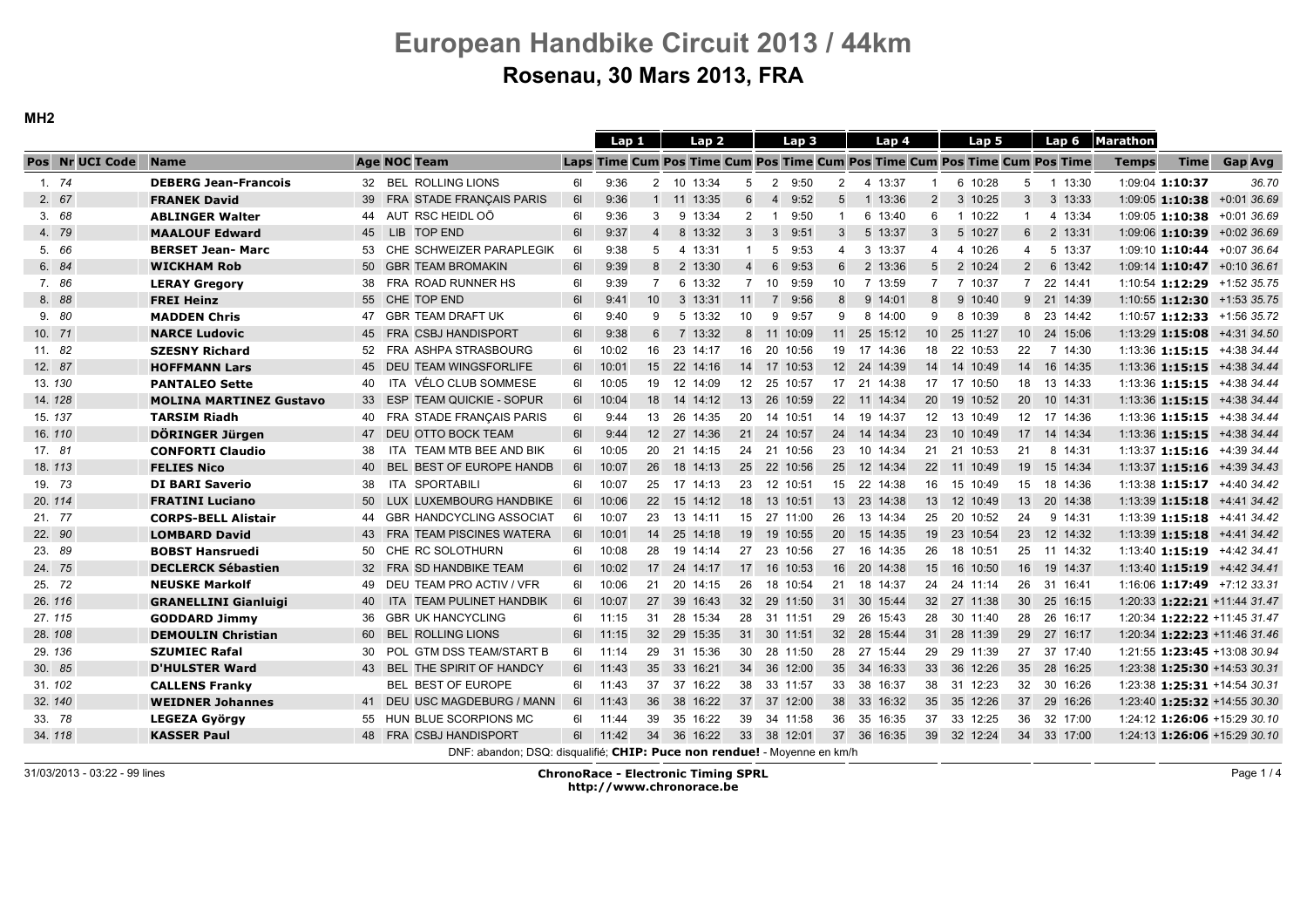MH2

|        |                 |                                |                                                                          |    | Lap 1    |                 | Lap <sub>2</sub> |                  | Lap <sub>3</sub>        |                | Lap 4       |                 | Lap 5                                                                      |                 | Lap 6       | Marathon     |                 |                                        |
|--------|-----------------|--------------------------------|--------------------------------------------------------------------------|----|----------|-----------------|------------------|------------------|-------------------------|----------------|-------------|-----------------|----------------------------------------------------------------------------|-----------------|-------------|--------------|-----------------|----------------------------------------|
|        | Pos Nr UCI Code | <b>Name</b>                    | <b>Age NOC Team</b>                                                      |    |          |                 |                  |                  |                         |                |             |                 | Laps Time Cum Pos Time Cum Pos Time Cum Pos Time Cum Pos Time Cum Pos Time |                 |             | <b>Temps</b> | <b>Time</b>     | <b>Gap Avg</b>                         |
|        | 1.74            | <b>DEBERG Jean-Francois</b>    | 32 BEL ROLLING LIONS                                                     | 61 | 9:36     |                 | 2 10 13:34       | 5                | 2 9:50                  | 2              | 4 13:37     | $\overline{1}$  | 6 10:28                                                                    | 5               | 1 13:30     |              | 1:09:04 1:10:37 | 36.70                                  |
|        | 2.67            | <b>FRANEK David</b>            | 39 FRA STADE FRANÇAIS PARIS                                              | 61 | 9:36     |                 | 1 11 13:35       | 6                | 9:52<br>$\overline{4}$  | 5              | 1 13:36     | $\overline{2}$  | 3 10:25                                                                    | $\mathbf{3}$    | 3 13:33     |              |                 | $1.09:05$ 1:10:38 +0:01 36.69          |
|        | 3.68            | <b>ABLINGER Walter</b>         | AUT RSC HEIDL OÖ<br>44                                                   | 61 | 9:36     | 3               | 9 13:34          | $\overline{2}$   | 9:50<br>$\mathbf{1}$    | $\overline{1}$ | 6 13:40     | 6               | 1 10:22                                                                    | $\overline{1}$  | 4 13:34     |              |                 | 1:09:05 1:10:38 +0:01 36.69            |
|        | 4. 79           | <b>MAALOUF Edward</b>          | 45 LIB<br><b>TOP END</b>                                                 | 61 | 9:37     | $\overline{4}$  | 8 13:32          | 3                | $3\quad 9:51$           | 3              | 5 13:37     | 3               | 5 10:27                                                                    | 6               | 2 13:31     |              |                 | 1:09:06 1:10:39 +0:02 36.69            |
|        | 5. 66           | <b>BERSET Jean-Marc</b>        | 53 CHE SCHWEIZER PARAPLEGIK                                              | 61 | 9:38     | 5               | 4 13:31          | $\mathbf{1}$     | 5<br>9:53               | $\overline{4}$ | 3 13:37     | $\overline{4}$  | 4 10:26                                                                    | $\overline{4}$  | 5 13:37     |              |                 | 1:09:10 1:10:44 +0:07 36.64            |
|        | 6. 84           | <b>WICKHAM Rob</b>             | 50 GBR TEAM BROMAKIN                                                     | 61 | 9:39     | 8               | 2 13:30          | $\overline{4}$   | $6\overline{6}$<br>9:53 | 6              | 2 13:36     | 5               | 2 10:24                                                                    | 2               | 6 13:42     |              |                 | 1:09:14 1:10:47 +0:10 36.61            |
|        | 7.86            | <b>LERAY Gregory</b>           | 38 FRA ROAD RUNNER HS                                                    | 61 | 9:39     | $\overline{7}$  | 6 13:32          | $\overline{7}$   | 10 <sup>1</sup><br>9:59 | 10             | 7 13:59     | $\overline{7}$  | 7 10:37                                                                    | $\overline{7}$  | 22 14:41    |              |                 | 1:10:54 1:12:29 +1:52 35.75            |
|        | 8. 88           | <b>FREI Heinz</b>              | 55 CHE TOP END                                                           | 61 | 9:41     | 10              | 3 13:31          | 11               | 9:56<br>$7^{\circ}$     | 8              | 9 14:01     | 8               | 9 10:40                                                                    |                 | 9 21 14:39  |              |                 | 1:10:55 1:12:30 +1:53 35.75            |
|        | 9. 80           | <b>MADDEN Chris</b>            | 47 GBR TEAM DRAFT UK                                                     | 61 | 9:40     | 9               | 5 13:32          | 10               | 9<br>9:57               | 9              | 8 14:00     | 9               | 8 10:39                                                                    | 8               | 23 14:42    |              |                 | 1:10:57 1:12:33 +1:56 35.72            |
| 10. 71 |                 | <b>NARCE Ludovic</b>           | 45 FRA CSBJ HANDISPORT                                                   | 61 | 9:38     | 6               | 7 13:32          |                  | 8 11 10:09              |                | 11 25 15:12 | 10 <sup>1</sup> | 25 11:27                                                                   | 10 <sup>1</sup> | 24 15:06    |              |                 | 1:13:29 1:15:08 +4:31 34.50            |
| 11. 82 |                 | <b>SZESNY Richard</b>          | 52 FRA ASHPA STRASBOURG                                                  | 61 | 10:02    | 16              | 23 14:17         | 16               | 20 10:56                |                | 19 17 14:36 |                 | 18 22 10:53                                                                | 22              | 7 14:30     |              |                 | 1:13:36 1:15:15 +4:38 34.44            |
| 12. 87 |                 | <b>HOFFMANN Lars</b>           | 45 DEU TEAM WINGSFORLIFE                                                 | 61 | 10:01    | 15              | 22 14:16         | 14               | 17 10:53                |                | 12 24 14:39 | 14              | 14 10:49                                                                   | 14              | 16 14:35    |              |                 | 1:13:36 1:15:15 +4:38 34.44            |
| 13.130 |                 | <b>PANTALEO Sette</b>          | VÉLO CLUB SOMMESE<br><b>ITA</b><br>40                                    | 61 | 10:05    | 19              | 12 14:09         | 12               | 25 10:57                | 17 21          | 14:38       |                 | 17 17 10:50                                                                | 18              | 13 14:33    |              |                 | 1:13:36 1:15:15 +4:38 34.44            |
| 14.128 |                 | <b>MOLINA MARTINEZ Gustavo</b> | 33 ESP TEAM QUICKIE - SOPUR                                              | 61 | 10:04    | 18              | 14 14:12         |                  | 13 26 10:59             |                | 22 11 14:34 | 20              | 19 10:52                                                                   | 20              | 10 14:31    |              |                 | 1:13:36 1:15:15 +4:38 34.44            |
| 15.137 |                 | <b>TARSIM Riadh</b>            | FRA STADE FRANÇAIS PARIS<br>40                                           | 61 | 9:44     | 13              | 26 14:35         | 20               | 14 10:51                | 14             | 19 14:37    | 12              | 13 10:49                                                                   | 12              | 17 14:36    |              |                 | 1:13:36 1:15:15 +4:38 34.44            |
| 16.110 |                 | DÖRINGER Jürgen                | 47<br>DEU OTTO BOCK TEAM                                                 | 61 | 9:44     | 12 <sup>2</sup> | 27 14:36         | 21               | 24 10:57                | 24             | 14 14:34    | 23              | 10 10:49                                                                   | 17              | 14 14:34    |              |                 | $1:13:36$ <b>1:15:15</b> $+4:38$ 34.44 |
| 17. 81 |                 | <b>CONFORTI Claudio</b>        | TEAM MTB BEE AND BIK<br>38<br>ITA.                                       | 61 | 10:05    | 20              | 21 14:15         | 24               | 21 10:56                | 23             | 10 14:34    | 21              | 21 10:53                                                                   | 21              | 8 14:31     |              |                 | 1:13:37 1:15:16 +4:39 34.44            |
| 18.113 |                 | <b>FELIES Nico</b>             | <b>BEL</b><br><b>BEST OF EUROPE HANDB</b><br>40                          | 61 | 10:07    | 26              | 18 14:13         | 25               | 22 10:56                | 25             | 12 14:34    | 22              | 11 10:49                                                                   | 19              | 15 14:34    |              |                 | $1:13:37$ <b>1:15:16</b> $+4:39$ 34.43 |
| 19. 73 |                 | <b>DI BARI Saverio</b>         | <b>SPORTABILI</b><br>38<br>ITA                                           | 61 | 10:07    | 25              | 17 14:13         | 23               | 12 10:51                |                | 15 22 14:38 | 16              | 15 10:49                                                                   | 15              | 18 14:36    |              |                 | 1:13:38 <b>1:15:17</b> $+4:40$ 34.42   |
| 20.114 |                 | <b>FRATINI Luciano</b>         | 50<br>LUX LUXEMBOURG HANDBIKE                                            | 61 | 10:06    | 22              | 15 14:12         | 18               | 13 10:51                |                | 13 23 14:38 | 13              | 12 10:49                                                                   | 13              | 20 14:38    |              |                 | 1:13:39 <b>1:15:18</b> $+4:41$ 34.42   |
| 21. 77 |                 | <b>CORPS-BELL Alistair</b>     | <b>GBR HANDCYCLING ASSOCIAT</b><br>44                                    | 61 | 10:07    | 23              | 13 14:11         | 15 <sup>15</sup> | 27 11:00                | 26             | 13 14:34    | 25              | 20 10:52                                                                   | 24              | 9 14:31     |              |                 | 1:13:39 1:15:18 +4:41 34.42            |
| 22. 90 |                 | <b>LOMBARD David</b>           | 43 FRA TEAM PISCINES WATERA                                              | 61 | 10:01    | 14              | 25 14:18         | 19               | 19 10:55                | 20             | 15 14:35    |                 | 19 23 10:54                                                                | 23              | 12 14:32    |              |                 | 1:13:39 <b>1:15:18</b> $+4:41$ 34.42   |
| 23. 89 |                 | <b>BOBST Hansruedi</b>         | CHE RC SOLOTHURN<br>50                                                   | 61 | 10:08    | 28              | 19 14:14         | 27               | 23 10:56                | 27             | 16 14:35    | 26              | 18 10:51                                                                   | 25              | 11 14:32    |              |                 | 1:13:40 1:15:19 +4:42 34.41            |
| 24. 75 |                 | <b>DECLERCK Sébastien</b>      | 32 FRA SD HANDBIKE TEAM                                                  | 61 | 10:02    | 17              | 24 14:17         | 17 <sup>2</sup>  | 16 10:53                |                | 16 20 14:38 |                 | 15 16 10:50                                                                | 16              | 19 14:37    |              |                 | 1:13:40 1:15:19 +4:42 34.41            |
| 25. 72 |                 | <b>NEUSKE Markolf</b>          | 49 DEU TEAM PRO ACTIV / VFR                                              | 61 | 10:06    | 21              | 20 14:15         | 26               | 18 10:54                |                | 21 18 14:37 |                 | 24 24 11:14                                                                | 26              | 31 16:41    |              |                 | 1:16:06 1:17:49 +7:12 33.31            |
| 26.116 |                 | <b>GRANELLINI Gianluigi</b>    | 40 ITA TEAM PULINET HANDBIK                                              |    | 6 10:07  | 27              | 39 16:43         |                  | 32 29 11:50             |                | 31 30 15:44 |                 | 32 27 11:38                                                                | 30 <sup>°</sup> | 25 16:15    |              |                 | 1:20:33 1:22:21 +11:44 31.47           |
| 27.115 |                 | <b>GODDARD Jimmy</b>           | <b>GBR UK HANCYCLING</b><br>36                                           |    | 6 11:15  | 31              | 28 15:34         |                  | 28 31 11:51             | 29             | 26 15:43    |                 | 28 30 11:40                                                                | 28              | 26 16:17    |              |                 | 1:20:34 1:22:22 +11:45 31.47           |
| 28.108 |                 | <b>DEMOULIN Christian</b>      | 60 BEL ROLLING LIONS                                                     |    | 6 11:15  |                 | 32 29 15:35      |                  | 31 30 11:51             |                | 32 28 15:44 |                 | 31 28 11:39                                                                |                 | 29 27 16:17 |              |                 | 1:20:34 1:22:23 +11:46 31.46           |
| 29.136 |                 | <b>SZUMIEC Rafal</b>           | 30 POL GTM DSS TEAM/START B                                              |    | 6  11:14 | 29              | 31 15:36         |                  | 30 28 11:50             |                | 28 27 15:44 |                 | 29 29 11:39                                                                | 27              | 37 17:40    |              |                 | 1:21:55 1:23:45 +13:08 30.94           |
| 30. 85 |                 | <b>D'HULSTER Ward</b>          | 43 BEL THE SPIRIT OF HANDCY                                              |    | 6 11:43  | 35 <sup>5</sup> | 33 16:21         |                  | 34 36 12:00             |                | 35 34 16:33 |                 | 33 36 12:26                                                                |                 | 35 28 16:25 |              |                 | 1:23:38 1:25:30 +14:53 30.31           |
| 31.102 |                 | <b>CALLENS Franky</b>          | BEL BEST OF EUROPE                                                       |    | 6  11:43 | 37              | 37 16:22         | 38               | 33 11:57                |                | 33 38 16:37 |                 | 38 31 12:23                                                                |                 | 32 30 16:26 |              |                 | 1:23:38 1:25:31 +14:54 30.31           |
| 32.140 |                 | <b>WEIDNER Johannes</b>        | 41 DEU USC MAGDEBURG / MANN                                              |    | 6  11:43 | 36              | 38 16:22         |                  | 37 37 12:00             |                | 38 33 16:32 |                 | 35 35 12:26                                                                |                 | 37 29 16:26 |              |                 | 1:23:40 1:25:32 +14:55 30.30           |
| 33. 78 |                 | <b>LEGEZA György</b>           | 55 HUN BLUE SCORPIONS MC                                                 |    | 6 11:44  | 39              | 35 16:22         |                  | 39 34 11:58             |                | 36 35 16:35 | 37              | 33 12:25                                                                   | 36              | 32 17:00    |              |                 | 1:24:12 1:26:06 +15:29 30.10           |
| 34.118 |                 | <b>KASSER Paul</b>             | 48 FRA CSBJ HANDISPORT                                                   |    | 6 11:42  | 34              | 36 16:22         |                  | 33 38 12:01             |                | 37 36 16:35 |                 | 39 32 12:24                                                                |                 | 34 33 17:00 |              |                 | 1:24:13 1:26:06 +15:29 30.10           |
|        |                 |                                | DNF: abandon; DSQ: disqualifié; CHIP: Puce non rendue! - Moyenne en km/h |    |          |                 |                  |                  |                         |                |             |                 |                                                                            |                 |             |              |                 |                                        |

31/03/2013 - 03:22 - 99 lines

 ChronoRace - Electronic Timing SPRLhttp://www.chronorace.be

Page 1 / 4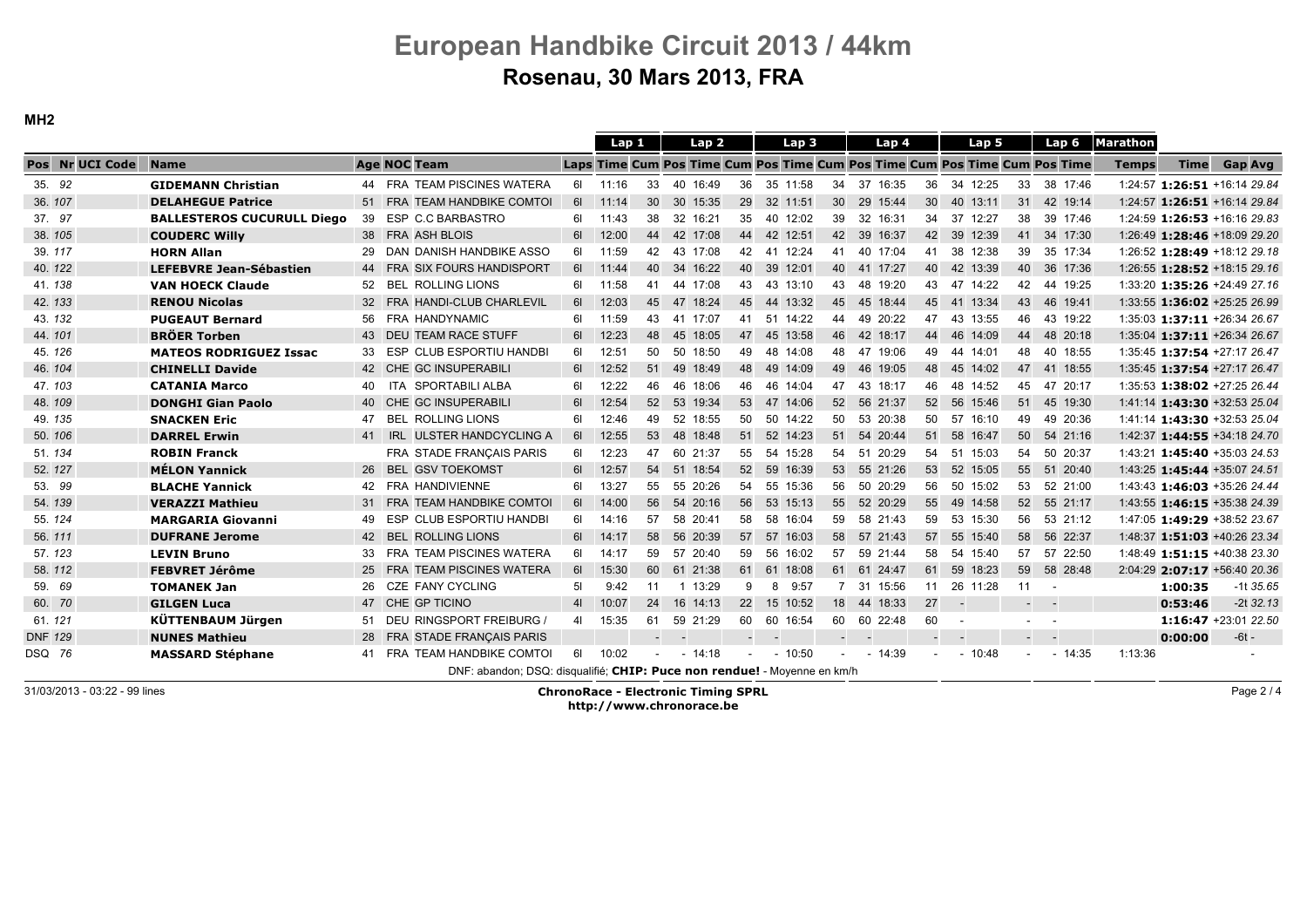MH2

|                 |                                   |    |                                                                          |                | Lap 1    |                          |        | Lap 2    |        | Lap 3       |                  | Lap 4                                                                      |                 |             | Lap 5    |    | Lap <sub>6</sub> | <b>Marathon</b> |                              |         |             |
|-----------------|-----------------------------------|----|--------------------------------------------------------------------------|----------------|----------|--------------------------|--------|----------|--------|-------------|------------------|----------------------------------------------------------------------------|-----------------|-------------|----------|----|------------------|-----------------|------------------------------|---------|-------------|
| Pos Nr UCI Code | <b>Name</b>                       |    | <b>Age NOC Team</b>                                                      |                |          |                          |        |          |        |             |                  | Laps Time Cum Pos Time Cum Pos Time Cum Pos Time Cum Pos Time Cum Pos Time |                 |             |          |    |                  | <b>Temps</b>    | <b>Time</b>                  |         | Gap Avg     |
| 35. 92          | <b>GIDEMANN Christian</b>         |    | 44 FRA TEAM PISCINES WATERA                                              |                | 6 11:16  | 33                       |        | 40 16:49 | 36     | 35 11:58    | 34               | 37 16:35                                                                   | 36              | 34 12:25    |          | 33 | 38 17:46         |                 | 1:24:57 1:26:51 +16:14 29.84 |         |             |
| 36.107          | <b>DELAHEGUE Patrice</b>          |    | 51 FRA TEAM HANDBIKE COMTOI                                              |                | 6  11:14 | 30                       |        | 30 15:35 | 29     | 32 11:51    |                  | 30 29 15:44                                                                | 30 <sup>°</sup> | 40 13:11    |          | 31 | 42 19:14         |                 | 1:24:57 1:26:51 +16:14 29.84 |         |             |
| 37. 97          | <b>BALLESTEROS CUCURULL Diego</b> |    | 39 ESP C.C BARBASTRO                                                     |                | 6 11:43  | 38                       |        | 32 16:21 | 35     | 40 12:02    |                  | 39 32 16:31                                                                |                 | 34 37 12:27 |          | 38 | 39 17:46         |                 | 1:24:59 1:26:53 +16:16 29.83 |         |             |
| 38.105          | <b>COUDERC Willy</b>              |    | 38 FRA ASH BLOIS                                                         | 61             | 12:00    | 44                       |        | 42 17:08 | 44     | 42 12:51    |                  | 42 39 16:37                                                                | 42              | 39 12:39    |          |    | 41 34 17:30      |                 | 1:26:49 1:28:46 +18:09 29.20 |         |             |
| 39.117          | <b>HORN Allan</b>                 |    | 29 DAN DANISH HANDBIKE ASSO                                              | 61             | 11:59    | 42                       |        | 43 17:08 | 42     | 41 12:24    | 41               | 40 17:04                                                                   | 41              | 38 12:38    |          | 39 | 35 17:34         |                 | 1:26:52 1:28:49 +18:12 29.18 |         |             |
| 40.122          | <b>LEFEBVRE Jean-Sébastien</b>    |    | 44 FRA SIX FOURS HANDISPORT                                              |                | 6 11:44  | 40                       |        | 34 16:22 | 40     | 39 12:01    |                  | 40 41 17:27                                                                |                 | 40 42 13:39 |          | 40 | 36 17:36         |                 | 1:26:55 1:28:52 +18:15 29.16 |         |             |
| 41.138          | <b>VAN HOECK Claude</b>           |    | 52 BEL ROLLING LIONS                                                     | 61             | 11:58    | 41                       |        | 44 17:08 | 43     | 43 13:10    |                  | 43 48 19:20                                                                |                 | 43 47 14:22 |          | 42 | 44 19:25         |                 | 1:33:20 1:35:26 +24:49 27.16 |         |             |
| 42.133          | <b>RENOU Nicolas</b>              |    | 32 FRA HANDI-CLUB CHARLEVIL                                              | 61             | 12:03    | 45                       |        | 47 18:24 |        | 45 44 13:32 | 45               | 45 18:44                                                                   | 45              | 41 13:34    |          | 43 | 46 19:41         |                 | 1:33:55 1:36:02 +25:25 26.99 |         |             |
| 43.132          | <b>PUGEAUT Bernard</b>            |    | 56 FRA HANDYNAMIC                                                        | 61             | 11:59    | 43                       |        | 41 17:07 | 41     | 51 14:22    | 44               | 49 20:22                                                                   | 47              | 43 13:55    |          | 46 | 43 19:22         |                 | 1:35:03 1:37:11 +26:34 26.67 |         |             |
| 44.101          | <b>BRÖER Torben</b>               |    | 43 DEU TEAM RACE STUFF                                                   | 61             | 12:23    | 48                       |        | 45 18:05 | 47     | 45 13:58    |                  | 46 42 18:17                                                                | 44              | 46 14:09    |          | 44 | 48 20:18         |                 | 1:35:04 1:37:11 +26:34 26.67 |         |             |
| 45.126          | <b>MATEOS RODRIGUEZ Issac</b>     | 33 | ESP CLUB ESPORTIU HANDBI                                                 | 61             | 12:51    | 50                       |        | 50 18:50 | 49     | 48 14:08    | 48               | 47 19:06                                                                   | 49              | 44 14:01    |          | 48 | 40 18:55         |                 | 1:35:45 1:37:54 +27:17 26.47 |         |             |
| 46.104          | <b>CHINELLI Davide</b>            |    | 42 CHE GC INSUPERABILI                                                   | 61             | 12:52    | 51                       |        | 49 18:49 | 48     | 49 14:09    |                  | 49 46 19:05                                                                | 48              | 45 14:02    |          | 47 | 41 18:55         |                 | 1:35:45 1:37:54 +27:17 26.47 |         |             |
| 47.103          | <b>CATANIA Marco</b>              |    | 40 ITA SPORTABILI ALBA                                                   | 61             | 12:22    | 46                       |        | 46 18:06 | 46     | 46 14:04    | 47               | 43 18:17                                                                   | 46              | 48 14:52    |          | 45 | 47 20:17         |                 | 1:35:53 1:38:02 +27:25 26.44 |         |             |
| 48.109          | <b>DONGHI Gian Paolo</b>          |    | 40 CHE GC INSUPERABILI                                                   | 61             | 12:54    | 52                       |        | 53 19:34 |        | 53 47 14:06 |                  | 52 56 21:37                                                                |                 | 52 56 15:46 |          |    | 51 45 19:30      |                 | 1:41:14 1:43:30 +32:53 25.04 |         |             |
| 49. 135         | <b>SNACKEN Eric</b>               | 47 | <b>BEL ROLLING LIONS</b>                                                 | 61             | 12:46    | 49                       |        | 52 18:55 | 50     | 50 14:22    | 50               | 53 20:38                                                                   |                 | 50 57       | 16:10    | 49 | 49 20:36         |                 | 1:41:14 1:43:30 +32:53 25.04 |         |             |
| 50. 106         | <b>DARREL Erwin</b>               |    | 41 IRL ULSTER HANDCYCLING A                                              | 61             | 12:55    | 53                       |        | 48 18:48 | 51     | 52 14:23    |                  | 51 54 20:44                                                                | 51              | 58          | 16:47    | 50 | 54 21:16         |                 | 1:42:37 1:44:55 +34:18 24.70 |         |             |
| 51.134          | <b>ROBIN Franck</b>               |    | FRA STADE FRANÇAIS PARIS                                                 | 61 <b>G</b>    | 12:23    | 47                       |        | 60 21:37 | 55     | 54 15:28    |                  | 54 51 20:29                                                                |                 | 54 51 15:03 |          | 54 | 50 20:37         |                 | 1:43:21 1:45:40 +35:03 24.53 |         |             |
| 52.127          | <b>MÉLON Yannick</b>              |    | 26 BEL GSV TOEKOMST                                                      | 61             | 12:57    | 54                       |        | 51 18:54 | 52     | 59 16:39    |                  | 53 55 21:26                                                                | 53              | 52 15:05    |          | 55 | 51 20:40         |                 | 1:43:25 1:45:44 +35:07 24.51 |         |             |
| 53. 99          | <b>BLACHE Yannick</b>             |    | 42 FRA HANDIVIENNE                                                       | 61             | 13:27    | 55                       |        | 55 20:26 | 54     | 55 15:36    | 56               | 50 20:29                                                                   | 56              | 50 15:02    |          | 53 | 52 21:00         |                 | 1:43:43 1:46:03 +35:26 24.44 |         |             |
| 54.139          | <b>VERAZZI Mathieu</b>            |    | 31 FRA TEAM HANDBIKE COMTOI                                              |                | 6  14:00 | 56                       |        | 54 20:16 | 56     | 53 15:13    |                  | 55 52 20:29                                                                |                 | 55 49 14:58 |          |    | 52 55 21:17      |                 | 1:43:55 1:46:15 +35:38 24.39 |         |             |
| 55.124          | <b>MARGARIA Giovanni</b>          | 49 | ESP CLUB ESPORTIU HANDBI                                                 | 61             | 14:16    | 57                       |        | 58 20:41 | 58     | 58 16:04    |                  | 59 58 21:43                                                                |                 | 59 53 15:30 |          | 56 | 53 21:12         |                 | 1:47:05 1:49:29 +38:52 23.67 |         |             |
| 56.111          | <b>DUFRANE Jerome</b>             |    | 42 BEL ROLLING LIONS                                                     | 61             | 14:17    | 58                       |        | 56 20:39 | 57     | 57 16:03    |                  | 58 57 21:43                                                                | 57              | 55 15:40    |          | 58 | 56 22:37         |                 | 1:48:37 1:51:03 +40:26 23.34 |         |             |
| 57.123          | <b>LEVIN Bruno</b>                | 33 | FRA TEAM PISCINES WATERA                                                 | 6I             | 14:17    | 59                       |        | 57 20:40 | 59     | 56 16:02    | 57               | 59 21:44                                                                   | 58              | 54 15:40    |          | 57 | 57 22:50         |                 | 1:48:49 1:51:15 +40:38 23.30 |         |             |
| 58.112          | <b>FEBVRET Jérôme</b>             |    | 25 FRA TEAM PISCINES WATERA                                              | 61             | 15:30    | 60                       |        | 61 21:38 | 61     | 61 18:08    |                  | 61 61 24:47                                                                | 61              | 59 18:23    |          | 59 | 58 28:48         |                 | 2:04:29 2:07:17 +56:40 20.36 |         |             |
| 59. 69          | <b>TOMANEK Jan</b>                | 26 | CZE FANY CYCLING                                                         | 5 <sub>l</sub> | 9:42     | 11                       |        | 1 13:29  | 9      | 8<br>9:57   | 7                | 31<br>15:56                                                                | 11              |             | 26 11:28 | 11 | $\sim$           |                 | 1:00:35                      |         | $-1135.65$  |
| 60. 70          | <b>GILGEN Luca</b>                |    | 47 CHE GP TICINO                                                         | 4 <sup>1</sup> | 10:07    | 24                       |        | 16 14:13 | 22     | 15 10:52    |                  | 18 44 18:33                                                                | 27              | $\sim$      |          |    |                  |                 | 0:53:46                      |         | $-2t$ 32.13 |
| 61.121          | KÜTTENBAUM Jürgen                 |    | 51 DEU RINGSPORT FREIBURG /                                              | 41             | 15:35    | 61                       |        | 59 21:29 | 60     | 60 16:54    |                  | 60 60 22:48                                                                | 60              | $\sim$      |          |    | $\sim$           |                 | 1:16:47 +23:01 22.50         |         |             |
| <b>DNF 129</b>  | <b>NUNES Mathieu</b>              |    | 28 FRA STADE FRANÇAIS PARIS                                              |                |          | $\overline{\phantom{a}}$ | $\sim$ |          | $\sim$ | $\sim$ $-$  | $\sim$ 100 $\mu$ |                                                                            |                 |             |          |    |                  |                 | 0:00:00                      | $-6t -$ |             |
| DSQ 76          | <b>MASSARD Stéphane</b>           |    | 41 FRA TEAM HANDBIKE COMTOI                                              | 61             | 10:02    |                          |        | $-14:18$ |        | $-10:50$    |                  | $-14:39$                                                                   | $\sim$          |             | $-10:48$ |    | $-14:35$         | 1:13:36         |                              |         |             |
|                 |                                   |    | DNF: abandon; DSQ: disqualifié; CHIP: Puce non rendue! - Moyenne en km/h |                |          |                          |        |          |        |             |                  |                                                                            |                 |             |          |    |                  |                 |                              |         |             |

31/03/2013 - 03:22 - 99 lines ChronoRace - Electronic Timing SPRL http://www.chronorace.be

Page 2 / 4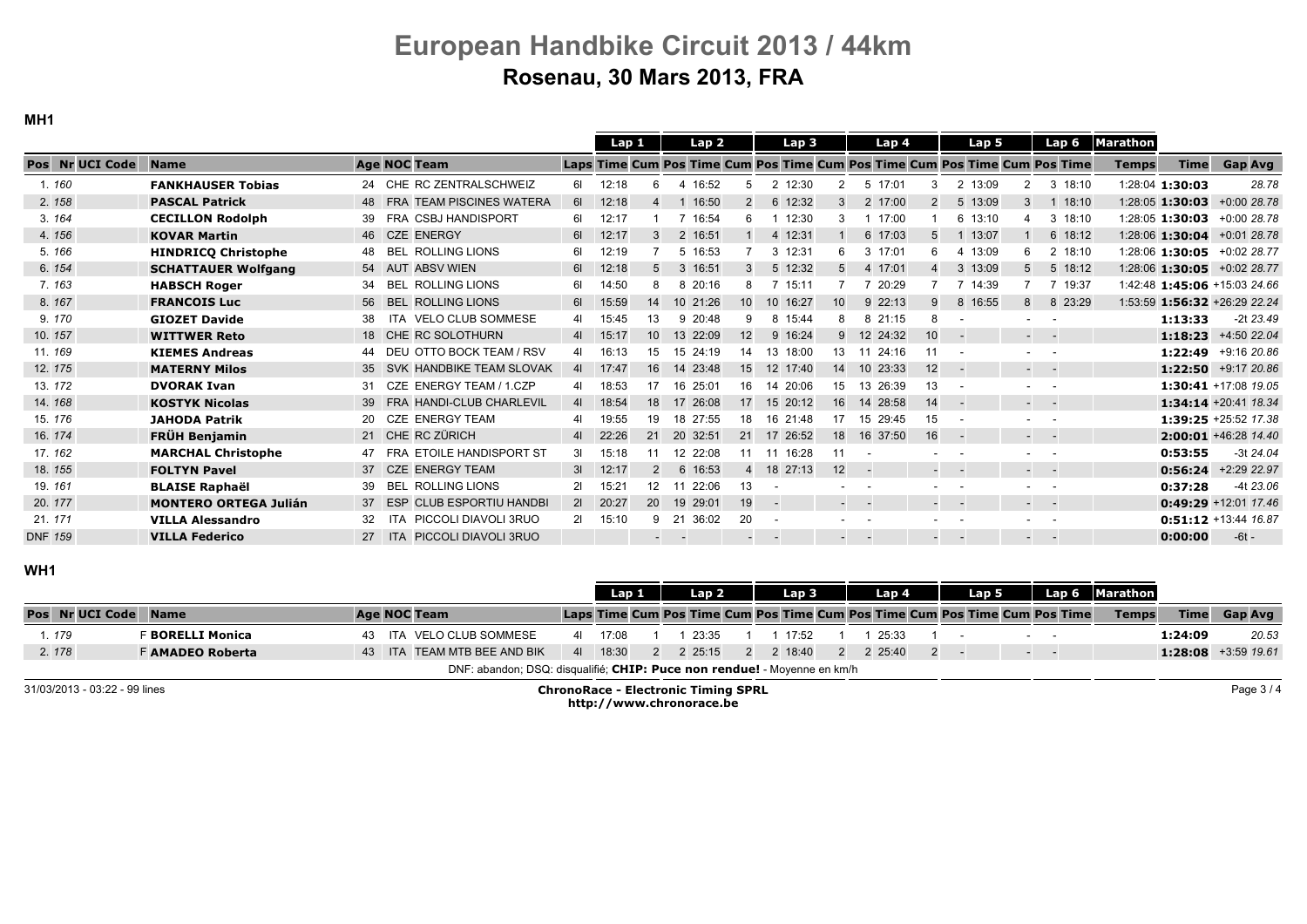MH1

|                 |                              |                                           |                | Lap 1    |    | Lap 2       |                 | Lap 3                                                                      |                 | Lap 4          |                 |                                   | Lap 5 |                                                                                                                           | Lap 6    | <b>Marathon</b> |                   |                              |
|-----------------|------------------------------|-------------------------------------------|----------------|----------|----|-------------|-----------------|----------------------------------------------------------------------------|-----------------|----------------|-----------------|-----------------------------------|-------|---------------------------------------------------------------------------------------------------------------------------|----------|-----------------|-------------------|------------------------------|
| Pos Nr UCI Code | <b>Name</b>                  | <b>Age NOC Team</b>                       |                |          |    |             |                 | Laps Time Cum Pos Time Cum Pos Time Cum Pos Time Cum Pos Time Cum Pos Time |                 |                |                 |                                   |       |                                                                                                                           |          | <b>Temps</b>    | <b>Time</b>       | <b>Gap Avg</b>               |
| 1.160           | <b>FANKHAUSER Tobias</b>     | 24 CHE RC ZENTRALSCHWEIZ                  | 61             | 12:18    |    | 4 16:52     | 5               | 2 12:30                                                                    |                 | 5 17:01        |                 | 2 13:09                           |       |                                                                                                                           | 3, 18:10 |                 | 1:28:04 1:30:03   | 28.78                        |
| 2.158           | <b>PASCAL Patrick</b>        | <b>TEAM PISCINES WATERA</b><br><b>FRA</b> | 61             | 12:18    |    | 16:50       | 2               | 6 12:32                                                                    | 3               | 2 17:00        | 2               | 5 13:09                           |       | $\mathbf{3}$                                                                                                              | 18:10    |                 | 1:28:05 1:30:03   | $+0.0028.78$                 |
| 3.164           | <b>CECILLON Rodolph</b>      | FRA CSBJ HANDISPORT                       | 61             | 12:17    |    | 16:54       | 6               | 12:30                                                                      |                 | 17:00          |                 | 6 13:10                           |       | 3                                                                                                                         | 18:10    |                 | 1:28:05 1:30:03   | +0:00 28.78                  |
| 4.156           | <b>KOVAR Martin</b>          | 46 CZE ENERGY                             | 61             | 12:17    |    | 2 16:51     |                 | 4 12:31                                                                    |                 | 6 17:03        | 5               |                                   | 13:07 |                                                                                                                           | 6 18:12  |                 | $1:28:06$ 1:30:04 | +0:01 28.78                  |
| 5.166           | <b>HINDRICO Christophe</b>   | <b>ROLLING LIONS</b><br><b>BEL</b><br>48  | 61             | 12:19    |    | 5 16:53     |                 | 3 12:31                                                                    |                 | 3 17:01        | 6               |                                   | 13:09 |                                                                                                                           | 2 18:10  |                 | 1:28:06 1:30:05   | +0:02 28.77                  |
| 6.154           | <b>SCHATTAUER Wolfgang</b>   | <b>ABSV WIEN</b><br>54 AUT                | 6I             | 12:18    |    | 3 16:51     | $\mathbf{3}$    | 5 12:32                                                                    |                 | 4 17:01        | 4               | 3 13:09                           |       |                                                                                                                           | 5 18:12  |                 |                   | 1:28:06 1:30:05 +0:02 28.77  |
| 7.163           | <b>HABSCH Roger</b>          | ROLLING LIONS<br><b>BEL</b><br>34         | 61             | 14:50    |    | 8 20:16     | 8               | 15:11                                                                      |                 | 20:29          |                 | 7 14:39                           |       |                                                                                                                           | 7 19:37  |                 |                   | 1:42:48 1:45:06 +15:03 24.66 |
| 8.167           | <b>FRANCOIS Luc</b>          | <b>BEL ROLLING LIONS</b><br>56            | 61             | 15:59    | 14 | 10 21:26    | 10 <sup>1</sup> | 16:27<br>10 <sup>°</sup>                                                   | 10              | 9 22:13        | 9               | 8 16:55                           |       | 8                                                                                                                         | 8 23:29  |                 |                   | 1:53:59 1:56:32 +26:29 22.24 |
| 9.170           | <b>GIOZET Davide</b>         | ITA VELO CLUB SOMMESE<br>38               | 41             | 15:45    | 13 | 9 20:48     | 9               | 8 15:44                                                                    |                 | 8 21:15        | 8               |                                   |       |                                                                                                                           |          |                 | 1:13:33           | $-2t$ 23.49                  |
| 10.157          | <b>WITTWER Reto</b>          | 18 CHE RC SOLOTHURN                       | 41             | 15:17    | 10 | 13 22:09    | 12 <sup>2</sup> | 9 16:24                                                                    | 9               | 12<br>24:32    | 10 <sup>°</sup> |                                   |       | $\frac{1}{2} \left( \frac{1}{2} \right) \left( \frac{1}{2} \right) \left( \frac{1}{2} \right) \left( \frac{1}{2} \right)$ |          |                 | 1:18:23           | +4:50 22.04                  |
| 11.169          | <b>KIEMES Andreas</b>        | DEU OTTO BOCK TEAM / RSV                  | 41 <b>Mart</b> | 16:13    | 15 | 15 24:19    | 14              | 13 18:00                                                                   | 13              | 24:16<br>-11   | 11              |                                   |       |                                                                                                                           |          |                 |                   | 1:22:49 +9:16 20.86          |
| 12.175          | <b>MATERNY Milos</b>         | SVK HANDBIKE TEAM SLOVAK                  | 41             | 17:47    | 16 | 14 23:48    | 15              | 12 17:40                                                                   | 14              | 10 23:33       | 12              | $\sim$                            |       | $\frac{1}{2} \left( \frac{1}{2} \right) \left( \frac{1}{2} \right) \left( \frac{1}{2} \right) \left( \frac{1}{2} \right)$ |          |                 |                   | 1:22:50 +9:17 20.86          |
| 13.172          | <b>DVORAK Ivan</b>           | CZE ENERGY TEAM / 1.CZP<br>31             |                | 18:53    | 17 | 16 25:01    | 16              | 14 20:06                                                                   | 15              | 13 26:39       | 13              |                                   |       | . .                                                                                                                       |          |                 |                   | 1:30:41 +17:08 19.05         |
| 14, 168         | <b>KOSTYK Nicolas</b>        | <b>FRA HANDI-CLUB CHARLEVIL</b><br>39     | 41             | 18:54    | 18 | 17 26:08    | 17 <sup>1</sup> | 15 20:12                                                                   | 16              | 14 28:58       | 14              | $\sim$                            |       | $\sim 100$ km s $^{-1}$                                                                                                   |          |                 |                   | 1:34:14 +20:41 18.34         |
| 15. 176         | <b>JAHODA Patrik</b>         | <b>CZE ENERGY TEAM</b><br>20              |                | 19:55    | 19 | 18 27:55    | 18              | 16 21:48                                                                   | 17              | 15 29:45       | 15              |                                   |       | . .                                                                                                                       |          |                 |                   | 1:39:25 +25:52 17.38         |
| 16.174          | <b>FRÜH Benjamin</b>         | 21 CHE RC ZÜRICH                          | 41             | 22:26    | 21 | 20 32:51    | 21              | 17 26:52                                                                   | 18              | 16 37:50       | 16              | $\sim$ $-$                        |       | - -                                                                                                                       |          |                 |                   | $2:00:01$ +46:28 14.40       |
| 17.162          | <b>MARCHAL Christophe</b>    | FRA ETOILE HANDISPORT ST                  | 31             | 15:18    | 11 | 12 22:08    | 11              | 11 16:28                                                                   |                 |                |                 |                                   |       | . .                                                                                                                       |          |                 | 0:53:55           | $-3t$ 24.04                  |
| 18.155          | <b>FOLTYN Pavel</b>          | 37 CZE ENERGY TEAM                        | 31             | 12:17    |    | 6 16:53     | $\overline{4}$  | 18 27:13                                                                   | 12 <sup>2</sup> |                |                 | $\sim 10^{-1}$ and $\sim 10^{-1}$ |       | $ -$                                                                                                                      |          |                 | 0:56:24           | +2:29 22.97                  |
| 19.161          | <b>BLAISE Raphaël</b>        | <b>BEL ROLLING LIONS</b><br>39            | 21             | 15:21    | 12 | 22:06<br>11 | 13              |                                                                            |                 |                |                 |                                   |       | $\sim$                                                                                                                    |          |                 | 0:37:28           | $-4t$ 23.06                  |
| 20.177          | <b>MONTERO ORTEGA Julián</b> | <b>ESP CLUB ESPORTIU HANDBI</b><br>37     |                | 2  20:27 | 20 | 19 29:01    | 19              | $\sim$                                                                     |                 | <b>Service</b> |                 | $\sim 10^{-1}$ m $^{-1}$          |       | - -                                                                                                                       |          |                 |                   | 0:49:29 +12:01 17.46         |
| 21.171          | <b>VILLA Alessandro</b>      | PICCOLI DIAVOLI 3RUO<br>ITA<br>32         | 21             | 15:10    | 9  | 36:02<br>21 | 20              |                                                                            |                 |                |                 | $\sim$ 100 $\sim$ 100 $\sim$      |       |                                                                                                                           |          |                 |                   | 0:51:12 +13:44 16.87         |
| <b>DNF 159</b>  | <b>VILLA Federico</b>        | <b>PICCOLI DIAVOLI 3RUO</b><br>$27$ ITA   |                |          |    |             |                 | $\sim$ 100 $\pm$                                                           |                 |                |                 |                                   |       | $ -$                                                                                                                      |          |                 | 0:00:00           | $-6t -$                      |
|                 |                              |                                           |                |          |    |             |                 |                                                                            |                 |                |                 |                                   |       |                                                                                                                           |          |                 |                   |                              |

### WH1

|       |                             |                         |  |                                                                          | Lap 1    |  | Lap 2   |  | Lap 3   |  | Lap 4   | Lap 5 |                                                                                     | Lap 6 Marathon |             |                              |
|-------|-----------------------------|-------------------------|--|--------------------------------------------------------------------------|----------|--|---------|--|---------|--|---------|-------|-------------------------------------------------------------------------------------|----------------|-------------|------------------------------|
|       | <b>Pos Nr UCI Code Name</b> |                         |  | Age NOC Team                                                             |          |  |         |  |         |  |         |       | <b>Laps Time Cum Pos Time Cum Pos Time Cum Pos Time Cum Pos Time Cum Pos Time 1</b> | <b>Temps</b>   | <b>Time</b> | Gap Avg                      |
| 1.179 |                             | <b>BORELLI Monica</b>   |  | 43 ITA VELO CLUB SOMMESE                                                 | 41 17:08 |  | 23:35   |  | 17:52   |  | 25:33   |       |                                                                                     |                | 1:24:09     | 20.53                        |
| 2.178 |                             | <b>F AMADEO Roberta</b> |  | 43 ITA TEAM MTB BEE AND BIK                                              | 41 18:30 |  | 2 25:15 |  | 2.18:40 |  | 2 25:40 |       |                                                                                     |                |             | <b>1:28:08</b> $+3.59$ 19.61 |
|       |                             |                         |  | DNF: abandon; DSQ: disqualifié; CHIP: Puce non rendue! - Moyenne en km/h |          |  |         |  |         |  |         |       |                                                                                     |                |             |                              |

31/03/2013 - 03:22 - 99 lines

 ChronoRace - Electronic Timing SPRLhttp://www.chronorace.be

Page 3 / 4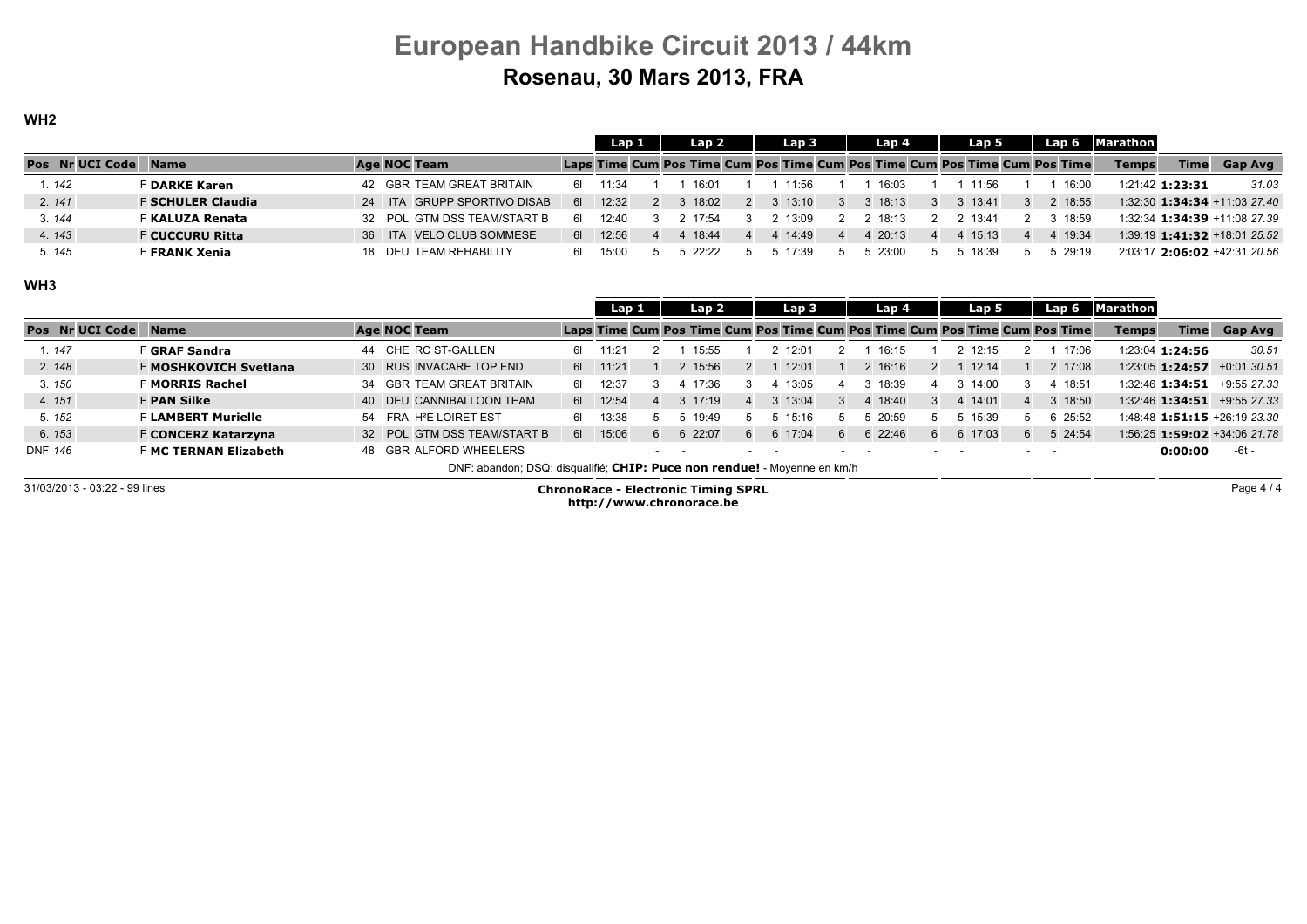### WH2

|                        |                          |  |                             |             | Lap 1   |  | Lap 2   |  | Lap 3   | Lap 4                                                                      |          | Lap 5 | Lap 6   | <b>Marathon</b> |                 |                              |
|------------------------|--------------------------|--|-----------------------------|-------------|---------|--|---------|--|---------|----------------------------------------------------------------------------|----------|-------|---------|-----------------|-----------------|------------------------------|
| <b>Pos</b> Nr UCI Code | <b>Name</b>              |  | Age NOC Team                |             |         |  |         |  |         | Laps Time Cum Pos Time Cum Pos Time Cum Pos Time Cum Pos Time Cum Pos Time |          |       |         | <b>Temps</b>    | <b>Time</b>     | Gap Avg                      |
| 1.142                  | <sup>=</sup> DARKE Karen |  | 42 GBR TEAM GREAT BRITAIN   | 61 <b>M</b> | 11:34   |  | 16:01   |  | 11:56   | 16:03                                                                      |          | 11:56 | 16:00   |                 | 1:21:42 1:23:31 | 31.03                        |
| 2.141                  | <b>F SCHULER Claudia</b> |  | 24 ITA GRUPP SPORTIVO DISAB | 61 <b>B</b> | 12:32   |  | 3 18:02 |  | 13:10   | 18:13                                                                      | 3 13:41  |       | 2 18:55 |                 |                 | 1:32:30 1:34:34 +11:03 27.40 |
| 3.144                  | <b>F KALUZA Renata</b>   |  | 32 POL GTM DSS TEAM/START B | 61.         | 12.40   |  | 17.54   |  | 13.09   | 18.13                                                                      | 2, 13:41 |       | 3 18:59 |                 |                 | 1:32:34 1:34:39 +11:08 27.39 |
| 4.143                  | <b>F CUCCURU Ritta</b>   |  | 36 ITA VELO CLUB SOMMESE    |             | 6 12:56 |  | 4 18:44 |  | 4 14:49 | 20:13                                                                      |          | 15:13 | 4 19:34 |                 |                 | 1:39:19 1:41:32 +18:01 25.52 |
| 5.145                  | F FRANK Xenia            |  | 18 DEU TEAM REHABILITY      | 61.         | 15:00   |  | 522.22  |  | 17.39   | 23:00                                                                      |          | 18:39 | 5 29:19 |                 |                 | 2:03:17 2:06:02 +42:31 20.56 |

#### WH3

|                        |                              |                                                                          |             | Lap <sub>1</sub> |   | Lap 2       |                | Lap 3    |              | Lap 4                                                                      |   | Lap 5   |         | Lap 6   Marathon |                 |                              |
|------------------------|------------------------------|--------------------------------------------------------------------------|-------------|------------------|---|-------------|----------------|----------|--------------|----------------------------------------------------------------------------|---|---------|---------|------------------|-----------------|------------------------------|
| <b>Pos</b> Nr UCI Code | <b>Name</b>                  | Age NOC Team                                                             |             |                  |   |             |                |          |              | Laps Time Cum Pos Time Cum Pos Time Cum Pos Time Cum Pos Time Cum Pos Time |   |         |         | <b>Temps</b>     | <b>Time</b>     | <b>Gap Avg</b>               |
| 1.147                  | <b>F GRAF Sandra</b>         | 44 CHE RC ST-GALLEN                                                      |             | 1.21             |   | 15:55       |                | 2, 12:01 |              | 16:15                                                                      |   | 12:15   | 17:06   |                  | 1:23:04 1:24:56 | 30.51                        |
| 2.148                  | F MOSHKOVICH Svetlana        | 30 RUS INVACARE TOP END                                                  |             | 6 11:21          |   | 2 15:56     | $\mathcal{P}$  | 12:01    |              | 2 16:16                                                                    |   | 12:14   | 2 17:08 |                  |                 | 1:23:05 1:24:57 +0:01 30.51  |
| 3.150                  | <b>F MORRIS Rachel</b>       | 34 GBR TEAM GREAT BRITAIN                                                | 61 L        | 12:37            |   | 17:36       |                | 13:05    |              | 18:39                                                                      |   | 14:00   | 4 18:51 |                  |                 | 1:32:46 1:34:51 +9:55 27.33  |
| 4.151                  | <b>F PAN Silke</b>           | 40 DEU CANNIBALLOON TEAM                                                 |             | 6 12:54          |   | $3 \t17:19$ | $\overline{4}$ | 3 13:04  | $\mathbf{3}$ | 18:40                                                                      |   | 4 14:01 | 3 18:50 |                  |                 | 1:32:46 1:34:51 +9:55 27.33  |
| 5.152                  | <b>F LAMBERT Murielle</b>    | 54 FRA H <sup>2</sup> E LOIRET EST                                       | 6I.         | 13.38            |   | 19:49       | 5              | 15:16    |              | 20:59                                                                      |   | 15:39   | 6 25:52 |                  |                 | 1:48:48 1:51:15 +26:19 23.30 |
| 6.153                  | <b>F CONCERZ Katarzyna</b>   | 32 POL GTM DSS TEAM/START B                                              | 61 <b>G</b> | 15:06            | 6 | 6 22:07     | 6              | 6 17:04  | 6            | 6 22:46                                                                    | 6 | 6 17:03 | 5 24:54 |                  |                 | 1:56:25 1:59:02 +34:06 21.78 |
| <b>DNF 146</b>         | <b>F MC TERNAN Elizabeth</b> | GBR ALFORD WHEELERS<br>48.                                               |             |                  |   | $ -$        |                |          |              |                                                                            |   |         |         |                  | 0:00:00         | -6t -                        |
|                        |                              | DNF: abandon; DSQ: disqualifié; CHIP: Puce non rendue! - Moyenne en km/h |             |                  |   |             |                |          |              |                                                                            |   |         |         |                  |                 |                              |

31/03/2013 - 03:22 - 99 lines ChronoRace - Electronic Timing SPRL http://www.chronorace.be

Page 4 / 4